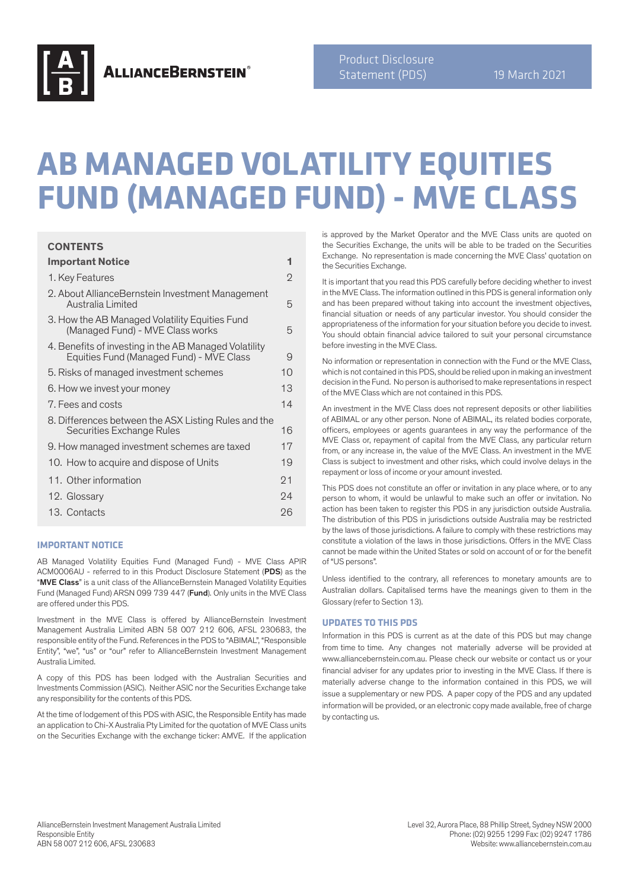

**ALLIANCEBERNSTEIN®** 

Product Disclosure Statement (PDS) 19 March 2021

# **AB MANAGED VOLATILITY EQUITIES FUND (MANAGED FUND) - MVE CLASS**

## **CONTENTS**

**Important Notice 1**

| important notice                                                                                  | ш              |
|---------------------------------------------------------------------------------------------------|----------------|
| 1. Key Features                                                                                   | $\overline{2}$ |
| 2. About AllianceBernstein Investment Management<br>Australia Limited                             | 5              |
| 3. How the AB Managed Volatility Equities Fund<br>(Managed Fund) - MVE Class works                | 5              |
| 4. Benefits of investing in the AB Managed Volatility<br>Equities Fund (Managed Fund) - MVE Class | 9              |
| 5. Risks of managed investment schemes                                                            | 10             |
| 6. How we invest your money                                                                       | 13             |
| 7. Fees and costs                                                                                 | 14             |
| 8. Differences between the ASX Listing Rules and the<br>Securities Exchange Rules                 | 16             |
| 9. How managed investment schemes are taxed                                                       | 17             |
| 10. How to acquire and dispose of Units                                                           | 19             |
| 11. Other information                                                                             | 21             |
| 12. Glossary                                                                                      | 24             |
| 13. Contacts                                                                                      | 26             |
|                                                                                                   |                |

#### **IMPORTANT NOTICE**

AB Managed Volatility Equities Fund (Managed Fund) - MVE Class APIR ACM0006AU - referred to in this Product Disclosure Statement (PDS) as the "MVE Class" is a unit class of the AllianceBernstein Managed Volatility Equities Fund (Managed Fund) ARSN 099 739 447 (Fund). Only units in the MVE Class are offered under this PDS.

Investment in the MVE Class is offered by AllianceBernstein Investment Management Australia Limited ABN 58 007 212 606, AFSL 230683, the responsible entity of the Fund. References in the PDS to "ABIMAL", "Responsible Entity", "we", "us" or "our" refer to AllianceBernstein Investment Management Australia Limited.

A copy of this PDS has been lodged with the Australian Securities and Investments Commission (ASIC). Neither ASIC nor the Securities Exchange take any responsibility for the contents of this PDS.

At the time of lodgement of this PDS with ASIC, the Responsible Entity has made an application to Chi-X Australia Pty Limited for the quotation of MVE Class units on the Securities Exchange with the exchange ticker: AMVE. If the application

is approved by the Market Operator and the MVE Class units are quoted on the Securities Exchange, the units will be able to be traded on the Securities Exchange. No representation is made concerning the MVE Class' quotation on the Securities Exchange.

It is important that you read this PDS carefully before deciding whether to invest in the MVE Class. The information outlined in this PDS is general information only and has been prepared without taking into account the investment objectives, financial situation or needs of any particular investor. You should consider the appropriateness of the information for your situation before you decide to invest. You should obtain financial advice tailored to suit your personal circumstance before investing in the MVE Class.

No information or representation in connection with the Fund or the MVE Class, which is not contained in this PDS, should be relied upon in making an investment decision in the Fund. No person is authorised to make representations in respect of the MVE Class which are not contained in this PDS.

An investment in the MVE Class does not represent deposits or other liabilities of ABIMAL or any other person. None of ABIMAL, its related bodies corporate, officers, employees or agents guarantees in any way the performance of the MVE Class or, repayment of capital from the MVE Class, any particular return from, or any increase in, the value of the MVE Class. An investment in the MVE Class is subject to investment and other risks, which could involve delays in the repayment or loss of income or your amount invested.

This PDS does not constitute an offer or invitation in any place where, or to any person to whom, it would be unlawful to make such an offer or invitation. No action has been taken to register this PDS in any jurisdiction outside Australia. The distribution of this PDS in jurisdictions outside Australia may be restricted by the laws of those jurisdictions. A failure to comply with these restrictions may constitute a violation of the laws in those jurisdictions. Offers in the MVE Class cannot be made within the United States or sold on account of or for the benefit of "US persons".

Unless identified to the contrary, all references to monetary amounts are to Australian dollars. Capitalised terms have the meanings given to them in the Glossary (refer to Section 13).

#### **UPDATES TO THIS PDS**

Information in this PDS is current as at the date of this PDS but may change from time to time. Any changes not materially adverse will be provided at www.alliancebernstein.com.au. Please check our website or contact us or your financial adviser for any updates prior to investing in the MVE Class. If there is materially adverse change to the information contained in this PDS, we will issue a supplementary or new PDS. A paper copy of the PDS and any updated information will be provided, or an electronic copy made available, free of charge by contacting us.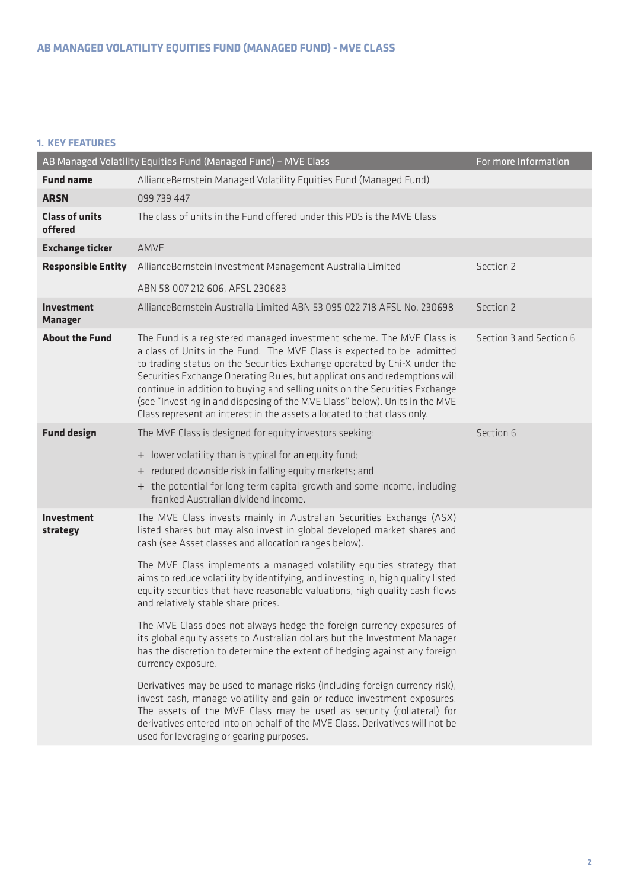## **1. KEY FEATURES**

|                                  | AB Managed Volatility Equities Fund (Managed Fund) - MVE Class                                                                                                                                                                                                                                                                                                                                                                                                                                                                                                                                                                                                                                                                                                                                                                                                                                                                                                                                                                                                                                                 | For more Information    |
|----------------------------------|----------------------------------------------------------------------------------------------------------------------------------------------------------------------------------------------------------------------------------------------------------------------------------------------------------------------------------------------------------------------------------------------------------------------------------------------------------------------------------------------------------------------------------------------------------------------------------------------------------------------------------------------------------------------------------------------------------------------------------------------------------------------------------------------------------------------------------------------------------------------------------------------------------------------------------------------------------------------------------------------------------------------------------------------------------------------------------------------------------------|-------------------------|
| <b>Fund name</b>                 | AllianceBernstein Managed Volatility Equities Fund (Managed Fund)                                                                                                                                                                                                                                                                                                                                                                                                                                                                                                                                                                                                                                                                                                                                                                                                                                                                                                                                                                                                                                              |                         |
| <b>ARSN</b>                      | 099 739 447                                                                                                                                                                                                                                                                                                                                                                                                                                                                                                                                                                                                                                                                                                                                                                                                                                                                                                                                                                                                                                                                                                    |                         |
| <b>Class of units</b><br>offered | The class of units in the Fund offered under this PDS is the MVE Class                                                                                                                                                                                                                                                                                                                                                                                                                                                                                                                                                                                                                                                                                                                                                                                                                                                                                                                                                                                                                                         |                         |
| <b>Exchange ticker</b>           | AMVE                                                                                                                                                                                                                                                                                                                                                                                                                                                                                                                                                                                                                                                                                                                                                                                                                                                                                                                                                                                                                                                                                                           |                         |
| <b>Responsible Entity</b>        | AllianceBernstein Investment Management Australia Limited                                                                                                                                                                                                                                                                                                                                                                                                                                                                                                                                                                                                                                                                                                                                                                                                                                                                                                                                                                                                                                                      | Section 2               |
|                                  | ABN 58 007 212 606, AFSL 230683                                                                                                                                                                                                                                                                                                                                                                                                                                                                                                                                                                                                                                                                                                                                                                                                                                                                                                                                                                                                                                                                                |                         |
| Investment<br><b>Manager</b>     | AllianceBernstein Australia Limited ABN 53 095 022 718 AFSL No. 230698                                                                                                                                                                                                                                                                                                                                                                                                                                                                                                                                                                                                                                                                                                                                                                                                                                                                                                                                                                                                                                         | Section 2               |
| <b>About the Fund</b>            | The Fund is a registered managed investment scheme. The MVE Class is<br>a class of Units in the Fund. The MVE Class is expected to be admitted<br>to trading status on the Securities Exchange operated by Chi-X under the<br>Securities Exchange Operating Rules, but applications and redemptions will<br>continue in addition to buying and selling units on the Securities Exchange<br>(see "Investing in and disposing of the MVE Class" below). Units in the MVE<br>Class represent an interest in the assets allocated to that class only.                                                                                                                                                                                                                                                                                                                                                                                                                                                                                                                                                              | Section 3 and Section 6 |
| <b>Fund design</b>               | The MVE Class is designed for equity investors seeking:<br>+ lower volatility than is typical for an equity fund;<br>+ reduced downside risk in falling equity markets; and<br>+ the potential for long term capital growth and some income, including<br>franked Australian dividend income.                                                                                                                                                                                                                                                                                                                                                                                                                                                                                                                                                                                                                                                                                                                                                                                                                  | Section 6               |
| <b>Investment</b><br>strategy    | The MVE Class invests mainly in Australian Securities Exchange (ASX)<br>listed shares but may also invest in global developed market shares and<br>cash (see Asset classes and allocation ranges below).<br>The MVE Class implements a managed volatility equities strategy that<br>aims to reduce volatility by identifying, and investing in, high quality listed<br>equity securities that have reasonable valuations, high quality cash flows<br>and relatively stable share prices.<br>The MVE Class does not always hedge the foreign currency exposures of<br>its global equity assets to Australian dollars but the Investment Manager<br>has the discretion to determine the extent of hedging against any foreign<br>currency exposure.<br>Derivatives may be used to manage risks (including foreign currency risk),<br>invest cash, manage volatility and gain or reduce investment exposures.<br>The assets of the MVE Class may be used as security (collateral) for<br>derivatives entered into on behalf of the MVE Class. Derivatives will not be<br>used for leveraging or gearing purposes. |                         |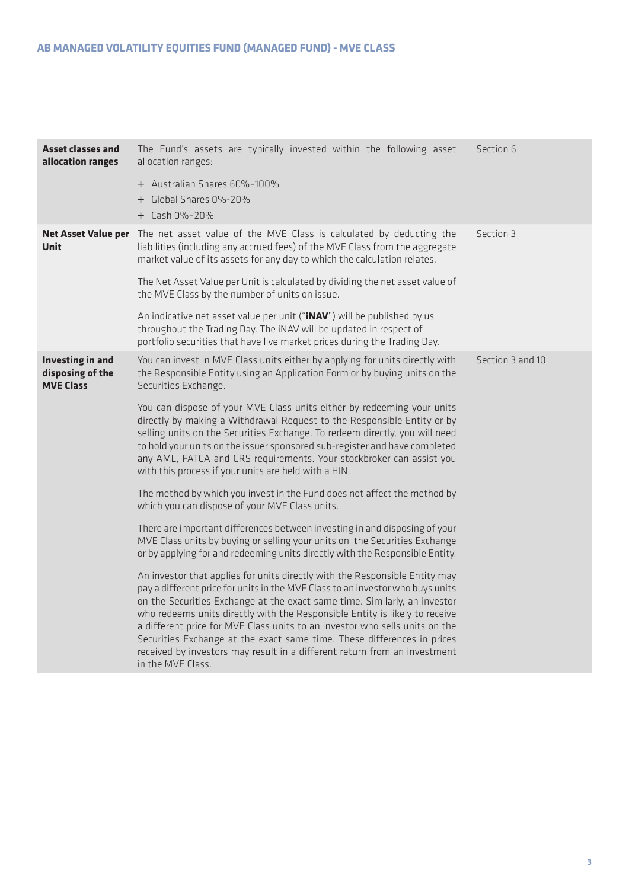| The Fund's assets are typically invested within the following asset<br>allocation ranges:                                                                                                                                                                                                                                                                                                                                                                                                                                                                                             | Section 6        |
|---------------------------------------------------------------------------------------------------------------------------------------------------------------------------------------------------------------------------------------------------------------------------------------------------------------------------------------------------------------------------------------------------------------------------------------------------------------------------------------------------------------------------------------------------------------------------------------|------------------|
| + Australian Shares 60%-100%<br>+ Global Shares 0%-20%<br>+ Cash 0%-20%                                                                                                                                                                                                                                                                                                                                                                                                                                                                                                               |                  |
| Net Asset Value per The net asset value of the MVE Class is calculated by deducting the<br>liabilities (including any accrued fees) of the MVE Class from the aggregate<br>market value of its assets for any day to which the calculation relates.                                                                                                                                                                                                                                                                                                                                   | Section 3        |
| The Net Asset Value per Unit is calculated by dividing the net asset value of<br>the MVE Class by the number of units on issue.                                                                                                                                                                                                                                                                                                                                                                                                                                                       |                  |
| An indicative net asset value per unit (" <b>INAV</b> ") will be published by us<br>throughout the Trading Day. The iNAV will be updated in respect of<br>portfolio securities that have live market prices during the Trading Day.                                                                                                                                                                                                                                                                                                                                                   |                  |
| You can invest in MVE Class units either by applying for units directly with<br>the Responsible Entity using an Application Form or by buying units on the<br>Securities Exchange.                                                                                                                                                                                                                                                                                                                                                                                                    | Section 3 and 10 |
| You can dispose of your MVE Class units either by redeeming your units<br>directly by making a Withdrawal Request to the Responsible Entity or by<br>selling units on the Securities Exchange. To redeem directly, you will need<br>to hold your units on the issuer sponsored sub-register and have completed<br>any AML, FATCA and CRS requirements. Your stockbroker can assist you<br>with this process if your units are held with a HIN.                                                                                                                                        |                  |
| The method by which you invest in the Fund does not affect the method by<br>which you can dispose of your MVE Class units.                                                                                                                                                                                                                                                                                                                                                                                                                                                            |                  |
| There are important differences between investing in and disposing of your<br>MVE Class units by buying or selling your units on the Securities Exchange<br>or by applying for and redeeming units directly with the Responsible Entity.                                                                                                                                                                                                                                                                                                                                              |                  |
| An investor that applies for units directly with the Responsible Entity may<br>pay a different price for units in the MVE Class to an investor who buys units<br>on the Securities Exchange at the exact same time. Similarly, an investor<br>who redeems units directly with the Responsible Entity is likely to receive<br>a different price for MVE Class units to an investor who sells units on the<br>Securities Exchange at the exact same time. These differences in prices<br>received by investors may result in a different return from an investment<br>in the MVE Class. |                  |
|                                                                                                                                                                                                                                                                                                                                                                                                                                                                                                                                                                                       |                  |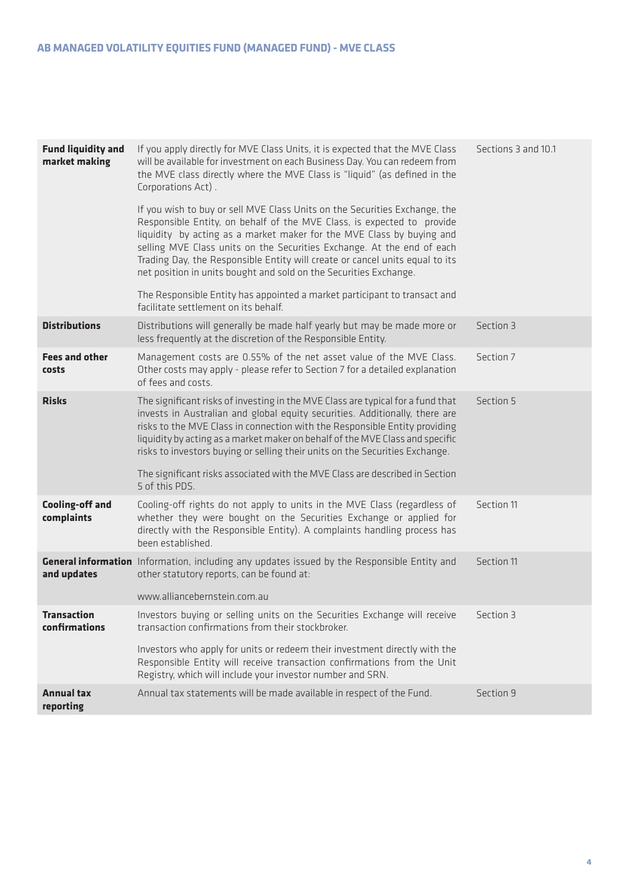| <b>Fund liquidity and</b><br>market making | If you apply directly for MVE Class Units, it is expected that the MVE Class<br>will be available for investment on each Business Day. You can redeem from<br>the MVE class directly where the MVE Class is "liquid" (as defined in the<br>Corporations Act).                                                                                                                                                                                                | Sections 3 and 10.1 |
|--------------------------------------------|--------------------------------------------------------------------------------------------------------------------------------------------------------------------------------------------------------------------------------------------------------------------------------------------------------------------------------------------------------------------------------------------------------------------------------------------------------------|---------------------|
|                                            | If you wish to buy or sell MVE Class Units on the Securities Exchange, the<br>Responsible Entity, on behalf of the MVE Class, is expected to provide<br>liquidity by acting as a market maker for the MVE Class by buying and<br>selling MVE Class units on the Securities Exchange. At the end of each<br>Trading Day, the Responsible Entity will create or cancel units equal to its<br>net position in units bought and sold on the Securities Exchange. |                     |
|                                            | The Responsible Entity has appointed a market participant to transact and<br>facilitate settlement on its behalf.                                                                                                                                                                                                                                                                                                                                            |                     |
| <b>Distributions</b>                       | Distributions will generally be made half yearly but may be made more or<br>less frequently at the discretion of the Responsible Entity.                                                                                                                                                                                                                                                                                                                     | Section 3           |
| <b>Fees and other</b><br>costs             | Management costs are 0.55% of the net asset value of the MVE Class.<br>Other costs may apply - please refer to Section 7 for a detailed explanation<br>of fees and costs.                                                                                                                                                                                                                                                                                    | Section 7           |
| <b>Risks</b>                               | The significant risks of investing in the MVE Class are typical for a fund that<br>invests in Australian and global equity securities. Additionally, there are<br>risks to the MVE Class in connection with the Responsible Entity providing<br>liquidity by acting as a market maker on behalf of the MVE Class and specific<br>risks to investors buying or selling their units on the Securities Exchange.                                                | Section 5           |
|                                            | The significant risks associated with the MVE Class are described in Section<br>5 of this PDS.                                                                                                                                                                                                                                                                                                                                                               |                     |
| <b>Cooling-off and</b><br>complaints       | Cooling-off rights do not apply to units in the MVE Class (regardless of<br>whether they were bought on the Securities Exchange or applied for<br>directly with the Responsible Entity). A complaints handling process has<br>been established.                                                                                                                                                                                                              | Section 11          |
| and updates                                | <b>General information</b> Information, including any updates issued by the Responsible Entity and<br>other statutory reports, can be found at:<br>www.alliancebernstein.com.au                                                                                                                                                                                                                                                                              | Section 11          |
| <b>Transaction</b><br>confirmations        | Investors buying or selling units on the Securities Exchange will receive<br>transaction confirmations from their stockbroker.<br>Investors who apply for units or redeem their investment directly with the<br>Responsible Entity will receive transaction confirmations from the Unit<br>Registry, which will include your investor number and SRN.                                                                                                        | Section 3           |
| <b>Annual tax</b><br>reporting             | Annual tax statements will be made available in respect of the Fund.                                                                                                                                                                                                                                                                                                                                                                                         | Section 9           |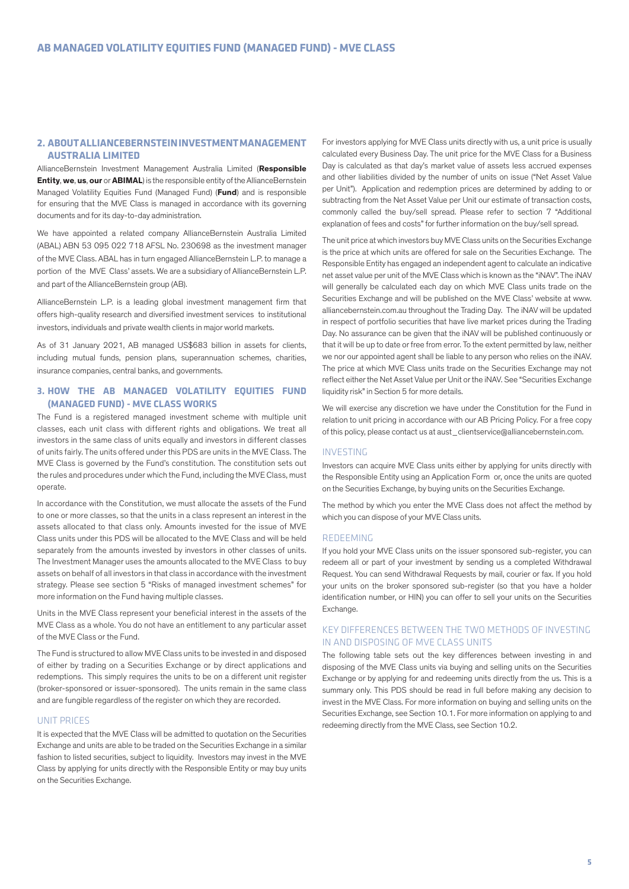## **2. ABOUT ALLIANCEBERNSTEIN INVESTMENT MANAGEMENT AUSTRALIA LIMITED**

AllianceBernstein Investment Management Australia Limited (**Responsible Entity**, **we**, **us**, **our** or **ABIMAL**) is the responsible entity of the AllianceBernstein Managed Volatility Equities Fund (Managed Fund) (**Fund**) and is responsible for ensuring that the MVE Class is managed in accordance with its governing documents and for its day-to-day administration.

We have appointed a related company AllianceBernstein Australia Limited (ABAL) ABN 53 095 022 718 AFSL No. 230698 as the investment manager of the MVE Class. ABAL has in turn engaged AllianceBernstein L.P. to manage a portion of the MVE Class' assets. We are a subsidiary of AllianceBernstein L.P. and part of the AllianceBernstein group (AB).

AllianceBernstein L.P. is a leading global investment management firm that offers high-quality research and diversified investment services to institutional investors, individuals and private wealth clients in major world markets.

As of 31 January 2021, AB managed US\$683 billion in assets for clients, including mutual funds, pension plans, superannuation schemes, charities, insurance companies, central banks, and governments.

## **3. HOW THE AB MANAGED VOLATILITY EQUITIES FUND (MANAGED FUND) - MVE CLASS WORKS**

The Fund is a registered managed investment scheme with multiple unit classes, each unit class with different rights and obligations. We treat all investors in the same class of units equally and investors in different classes of units fairly. The units offered under this PDS are units in the MVE Class. The MVE Class is governed by the Fund's constitution. The constitution sets out the rules and procedures under which the Fund, including the MVE Class, must operate.

In accordance with the Constitution, we must allocate the assets of the Fund to one or more classes, so that the units in a class represent an interest in the assets allocated to that class only. Amounts invested for the issue of MVE Class units under this PDS will be allocated to the MVE Class and will be held separately from the amounts invested by investors in other classes of units. The Investment Manager uses the amounts allocated to the MVE Class to buy assets on behalf of all investors in that class in accordance with the investment strategy. Please see section 5 "Risks of managed investment schemes" for more information on the Fund having multiple classes.

Units in the MVE Class represent your beneficial interest in the assets of the MVE Class as a whole. You do not have an entitlement to any particular asset of the MVE Class or the Fund.

The Fund is structured to allow MVE Class units to be invested in and disposed of either by trading on a Securities Exchange or by direct applications and redemptions. This simply requires the units to be on a different unit register (broker-sponsored or issuer-sponsored). The units remain in the same class and are fungible regardless of the register on which they are recorded.

## UNIT PRICES

It is expected that the MVE Class will be admitted to quotation on the Securities Exchange and units are able to be traded on the Securities Exchange in a similar fashion to listed securities, subject to liquidity. Investors may invest in the MVE Class by applying for units directly with the Responsible Entity or may buy units on the Securities Exchange.

For investors applying for MVE Class units directly with us, a unit price is usually calculated every Business Day. The unit price for the MVE Class for a Business Day is calculated as that day's market value of assets less accrued expenses and other liabilities divided by the number of units on issue ("Net Asset Value per Unit"). Application and redemption prices are determined by adding to or subtracting from the Net Asset Value per Unit our estimate of transaction costs, commonly called the buy/sell spread. Please refer to section 7 "Additional explanation of fees and costs" for further information on the buy/sell spread.

The unit price at which investors buy MVE Class units on the Securities Exchange is the price at which units are offered for sale on the Securities Exchange. The Responsible Entity has engaged an independent agent to calculate an indicative net asset value per unit of the MVE Class which is known as the "iNAV". The iNAV will generally be calculated each day on which MVE Class units trade on the Securities Exchange and will be published on the MVE Class' website at www. alliancebernstein.com.au throughout the Trading Day. The iNAV will be updated in respect of portfolio securities that have live market prices during the Trading Day. No assurance can be given that the iNAV will be published continuously or that it will be up to date or free from error. To the extent permitted by law, neither we nor our appointed agent shall be liable to any person who relies on the iNAV. The price at which MVE Class units trade on the Securities Exchange may not reflect either the Net Asset Value per Unit or the iNAV. See "Securities Exchange liquidity risk" in Section 5 for more details.

We will exercise any discretion we have under the Constitution for the Fund in relation to unit pricing in accordance with our AB Pricing Policy. For a free copy of this policy, please contact us at aust\_clientservice@alliancebernstein.com.

#### INVESTING

Investors can acquire MVE Class units either by applying for units directly with the Responsible Entity using an Application Form or, once the units are quoted on the Securities Exchange, by buying units on the Securities Exchange.

The method by which you enter the MVE Class does not affect the method by which you can dispose of your MVE Class units.

#### REDEEMING

If you hold your MVE Class units on the issuer sponsored sub-register, you can redeem all or part of your investment by sending us a completed Withdrawal Request. You can send Withdrawal Requests by mail, courier or fax. If you hold your units on the broker sponsored sub-register (so that you have a holder identification number, or HIN) you can offer to sell your units on the Securities Exchange.

## KEY DIFFERENCES BETWEEN THE TWO METHODS OF INVESTING IN AND DISPOSING OF MVE CLASS UNITS

The following table sets out the key differences between investing in and disposing of the MVE Class units via buying and selling units on the Securities Exchange or by applying for and redeeming units directly from the us. This is a summary only. This PDS should be read in full before making any decision to invest in the MVE Class. For more information on buying and selling units on the Securities Exchange, see Section 10.1. For more information on applying to and redeeming directly from the MVE Class, see Section 10.2.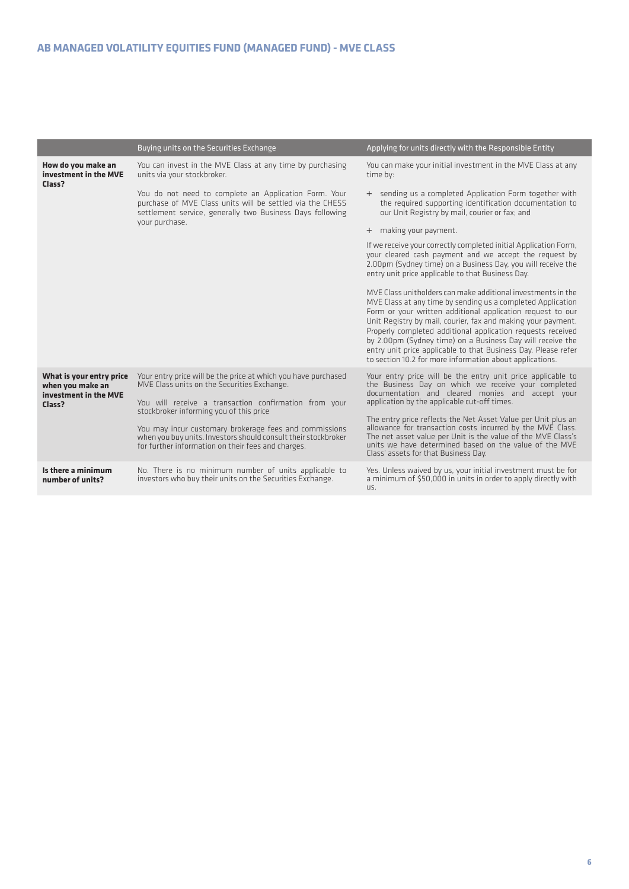|                                                                                 | Buying units on the Securities Exchange                                                                                                                                         | Applying for units directly with the Responsible Entity                                                                                                                                                                                                                                                                                                                                                                                                                                                              |
|---------------------------------------------------------------------------------|---------------------------------------------------------------------------------------------------------------------------------------------------------------------------------|----------------------------------------------------------------------------------------------------------------------------------------------------------------------------------------------------------------------------------------------------------------------------------------------------------------------------------------------------------------------------------------------------------------------------------------------------------------------------------------------------------------------|
| How do you make an<br>investment in the MVE<br>Class?                           | You can invest in the MVE Class at any time by purchasing<br>units via your stockbroker.                                                                                        | You can make your initial investment in the MVE Class at any<br>time by:                                                                                                                                                                                                                                                                                                                                                                                                                                             |
|                                                                                 | You do not need to complete an Application Form. Your<br>purchase of MVE Class units will be settled via the CHESS<br>settlement service, generally two Business Days following | + sending us a completed Application Form together with<br>the required supporting identification documentation to<br>our Unit Registry by mail, courier or fax; and                                                                                                                                                                                                                                                                                                                                                 |
|                                                                                 | vour purchase.                                                                                                                                                                  | + making your payment.                                                                                                                                                                                                                                                                                                                                                                                                                                                                                               |
|                                                                                 |                                                                                                                                                                                 | If we receive your correctly completed initial Application Form,<br>your cleared cash payment and we accept the request by<br>2.00pm (Sydney time) on a Business Day, you will receive the<br>entry unit price applicable to that Business Day.                                                                                                                                                                                                                                                                      |
|                                                                                 |                                                                                                                                                                                 | MVE Class unitholders can make additional investments in the<br>MVE Class at any time by sending us a completed Application<br>Form or your written additional application request to our<br>Unit Registry by mail, courier, fax and making your payment.<br>Properly completed additional application requests received<br>by 2.00pm (Sydney time) on a Business Day will receive the<br>entry unit price applicable to that Business Day. Please refer<br>to section 10.2 for more information about applications. |
| What is your entry price<br>when you make an<br>investment in the MVE<br>Class? | Your entry price will be the price at which you have purchased<br>MVE Class units on the Securities Exchange.<br>You will receive a transaction confirmation from your          | Your entry price will be the entry unit price applicable to<br>the Business Day on which we receive your completed<br>documentation and cleared monies and accept your<br>application by the applicable cut-off times.                                                                                                                                                                                                                                                                                               |
|                                                                                 | stockbroker informing you of this price                                                                                                                                         | The entry price reflects the Net Asset Value per Unit plus an                                                                                                                                                                                                                                                                                                                                                                                                                                                        |
|                                                                                 | You may incur customary brokerage fees and commissions<br>when you buy units. Investors should consult their stockbroker<br>for further information on their fees and charges.  | allowance for transaction costs incurred by the MVE Class.<br>The net asset value per Unit is the value of the MVE Class's<br>units we have determined based on the value of the MVE<br>Class' assets for that Business Day.                                                                                                                                                                                                                                                                                         |
| Is there a minimum<br>number of units?                                          | No. There is no minimum number of units applicable to<br>investors who buy their units on the Securities Exchange.                                                              | Yes. Unless waived by us, your initial investment must be for<br>a minimum of \$50,000 in units in order to apply directly with<br>US.                                                                                                                                                                                                                                                                                                                                                                               |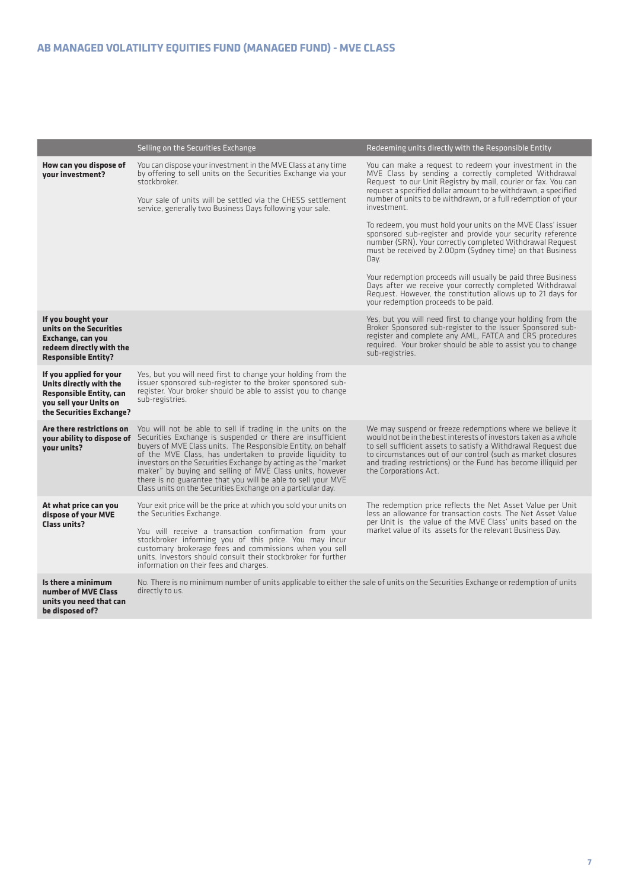|                                                                                                                                            | Selling on the Securities Exchange                                                                                                                                                                                                                                                                                                                                                                                                                                                                                 | Redeeming units directly with the Responsible Entity                                                                                                                                                                                                                                                                                                                                                                                                                                                                                                                                                                                                                                                                                                                                                                                    |
|--------------------------------------------------------------------------------------------------------------------------------------------|--------------------------------------------------------------------------------------------------------------------------------------------------------------------------------------------------------------------------------------------------------------------------------------------------------------------------------------------------------------------------------------------------------------------------------------------------------------------------------------------------------------------|-----------------------------------------------------------------------------------------------------------------------------------------------------------------------------------------------------------------------------------------------------------------------------------------------------------------------------------------------------------------------------------------------------------------------------------------------------------------------------------------------------------------------------------------------------------------------------------------------------------------------------------------------------------------------------------------------------------------------------------------------------------------------------------------------------------------------------------------|
| How can you dispose of<br>vour investment?                                                                                                 | You can dispose your investment in the MVE Class at any time<br>by offering to sell units on the Securities Exchange via your<br>stockbroker.<br>Your sale of units will be settled via the CHESS settlement<br>service, generally two Business Days following your sale.                                                                                                                                                                                                                                          | You can make a request to redeem your investment in the<br>MVE Class by sending a correctly completed Withdrawal<br>Request to our Unit Registry by mail, courier or fax. You can<br>request a specified dollar amount to be withdrawn, a specified<br>number of units to be withdrawn, or a full redemption of your<br>investment.<br>To redeem, you must hold your units on the MVE Class' issuer<br>sponsored sub-register and provide your security reference<br>number (SRN). Your correctly completed Withdrawal Request<br>must be received by 2.00pm (Sydney time) on that Business<br>Day.<br>Your redemption proceeds will usually be paid three Business<br>Days after we receive your correctly completed Withdrawal<br>Request. However, the constitution allows up to 21 days for<br>your redemption proceeds to be paid. |
| If you bought your<br>units on the Securities<br>Exchange, can you<br>redeem directly with the<br><b>Responsible Entity?</b>               |                                                                                                                                                                                                                                                                                                                                                                                                                                                                                                                    | Yes, but you will need first to change your holding from the<br>Broker Sponsored sub-register to the Issuer Sponsored sub-<br>register and complete any AML, FATCA and CRS procedures<br>required. Your broker should be able to assist you to change<br>sub-registries.                                                                                                                                                                                                                                                                                                                                                                                                                                                                                                                                                                |
| If you applied for your<br>Units directly with the<br><b>Responsible Entity, can</b><br>you sell your Units on<br>the Securities Exchange? | Yes, but you will need first to change your holding from the<br>issuer sponsored sub-register to the broker sponsored sub-<br>register. Your broker should be able to assist you to change<br>sub-registries.                                                                                                                                                                                                                                                                                                      |                                                                                                                                                                                                                                                                                                                                                                                                                                                                                                                                                                                                                                                                                                                                                                                                                                         |
| Are there restrictions on<br>your ability to dispose of<br>your units?                                                                     | You will not be able to sell if trading in the units on the<br>Securities Exchange is suspended or there are insufficient<br>buyers of MVE Class units. The Responsible Entity, on behalf<br>of the MVE Class, has undertaken to provide liquidity to<br>investors on the Securities Exchange by acting as the "market"<br>maker" by buying and selling of MVE Class units, however<br>there is no guarantee that you will be able to sell your MVE<br>Class units on the Securities Exchange on a particular day. | We may suspend or freeze redemptions where we believe it<br>would not be in the best interests of investors taken as a whole<br>to sell sufficient assets to satisfy a Withdrawal Request due<br>to circumstances out of our control (such as market closures<br>and trading restrictions) or the Fund has become illiquid per<br>the Corporations Act.                                                                                                                                                                                                                                                                                                                                                                                                                                                                                 |
| At what price can you<br>dispose of your MVE<br><b>Class units?</b>                                                                        | Your exit price will be the price at which you sold your units on<br>the Securities Exchange.<br>You will receive a transaction confirmation from your<br>stockbroker informing you of this price. You may incur<br>customary brokerage fees and commissions when you sell<br>units. Investors should consult their stockbroker for further<br>information on their fees and charges.                                                                                                                              | The redemption price reflects the Net Asset Value per Unit<br>less an allowance for transaction costs. The Net Asset Value<br>per Unit is the value of the MVE Class' units based on the<br>market value of its assets for the relevant Business Day.                                                                                                                                                                                                                                                                                                                                                                                                                                                                                                                                                                                   |
| Is there a minimum<br>number of MVE Class<br>units you need that can                                                                       | No. There is no minimum number of units applicable to either the sale of units on the Securities Exchange or redemption of units<br>directly to us.                                                                                                                                                                                                                                                                                                                                                                |                                                                                                                                                                                                                                                                                                                                                                                                                                                                                                                                                                                                                                                                                                                                                                                                                                         |

**be disposed of?**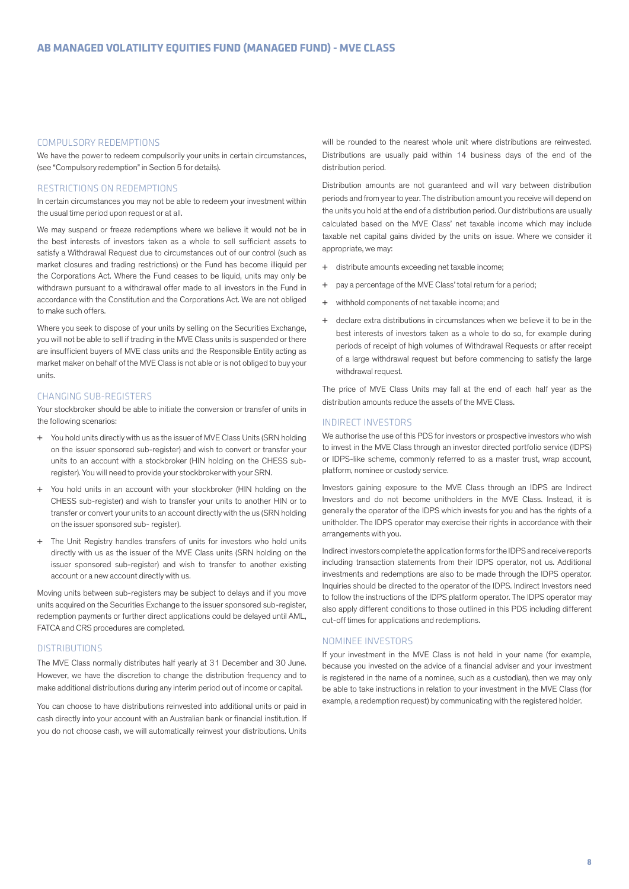#### COMPULSORY REDEMPTIONS

We have the power to redeem compulsorily your units in certain circumstances, (see "Compulsory redemption" in Section 5 for details).

#### RESTRICTIONS ON REDEMPTIONS

In certain circumstances you may not be able to redeem your investment within the usual time period upon request or at all.

We may suspend or freeze redemptions where we believe it would not be in the best interests of investors taken as a whole to sell sufficient assets to satisfy a Withdrawal Request due to circumstances out of our control (such as market closures and trading restrictions) or the Fund has become illiquid per the Corporations Act. Where the Fund ceases to be liquid, units may only be withdrawn pursuant to a withdrawal offer made to all investors in the Fund in accordance with the Constitution and the Corporations Act. We are not obliged to make such offers.

Where you seek to dispose of your units by selling on the Securities Exchange, you will not be able to sell if trading in the MVE Class units is suspended or there are insufficient buyers of MVE class units and the Responsible Entity acting as market maker on behalf of the MVE Class is not able or is not obliged to buy your units.

#### CHANGING SUB-REGISTERS

Your stockbroker should be able to initiate the conversion or transfer of units in the following scenarios:

- You hold units directly with us as the issuer of MVE Class Units (SRN holding on the issuer sponsored sub-register) and wish to convert or transfer your units to an account with a stockbroker (HIN holding on the CHESS subregister). You will need to provide your stockbroker with your SRN.
- + You hold units in an account with your stockbroker (HIN holding on the CHESS sub-register) and wish to transfer your units to another HIN or to transfer or convert your units to an account directly with the us (SRN holding on the issuer sponsored sub- register).
- + The Unit Registry handles transfers of units for investors who hold units directly with us as the issuer of the MVE Class units (SRN holding on the issuer sponsored sub-register) and wish to transfer to another existing account or a new account directly with us.

Moving units between sub-registers may be subject to delays and if you move units acquired on the Securities Exchange to the issuer sponsored sub-register, redemption payments or further direct applications could be delayed until AML, FATCA and CRS procedures are completed.

## **DISTRIBUTIONS**

The MVE Class normally distributes half yearly at 31 December and 30 June. However, we have the discretion to change the distribution frequency and to make additional distributions during any interim period out of income or capital.

You can choose to have distributions reinvested into additional units or paid in cash directly into your account with an Australian bank or financial institution. If you do not choose cash, we will automatically reinvest your distributions. Units will be rounded to the nearest whole unit where distributions are reinvested. Distributions are usually paid within 14 business days of the end of the distribution period.

Distribution amounts are not guaranteed and will vary between distribution periods and from year to year. The distribution amount you receive will depend on the units you hold at the end of a distribution period. Our distributions are usually calculated based on the MVE Class' net taxable income which may include taxable net capital gains divided by the units on issue. Where we consider it appropriate, we may:

- + distribute amounts exceeding net taxable income;
- + pay a percentage of the MVE Class' total return for a period;
- + withhold components of net taxable income; and
- + declare extra distributions in circumstances when we believe it to be in the best interests of investors taken as a whole to do so, for example during periods of receipt of high volumes of Withdrawal Requests or after receipt of a large withdrawal request but before commencing to satisfy the large withdrawal request.

The price of MVE Class Units may fall at the end of each half year as the distribution amounts reduce the assets of the MVE Class.

#### INDIRECT INVESTORS

We authorise the use of this PDS for investors or prospective investors who wish to invest in the MVE Class through an investor directed portfolio service (IDPS) or IDPS-like scheme, commonly referred to as a master trust, wrap account, platform, nominee or custody service.

Investors gaining exposure to the MVE Class through an IDPS are Indirect Investors and do not become unitholders in the MVE Class. Instead, it is generally the operator of the IDPS which invests for you and has the rights of a unitholder. The IDPS operator may exercise their rights in accordance with their arrangements with you.

Indirect investors complete the application forms for the IDPS and receive reports including transaction statements from their IDPS operator, not us. Additional investments and redemptions are also to be made through the IDPS operator. Inquiries should be directed to the operator of the IDPS. Indirect Investors need to follow the instructions of the IDPS platform operator. The IDPS operator may also apply different conditions to those outlined in this PDS including different cut-off times for applications and redemptions.

## NOMINEE INVESTORS

If your investment in the MVE Class is not held in your name (for example, because you invested on the advice of a financial adviser and your investment is registered in the name of a nominee, such as a custodian), then we may only be able to take instructions in relation to your investment in the MVE Class (for example, a redemption request) by communicating with the registered holder.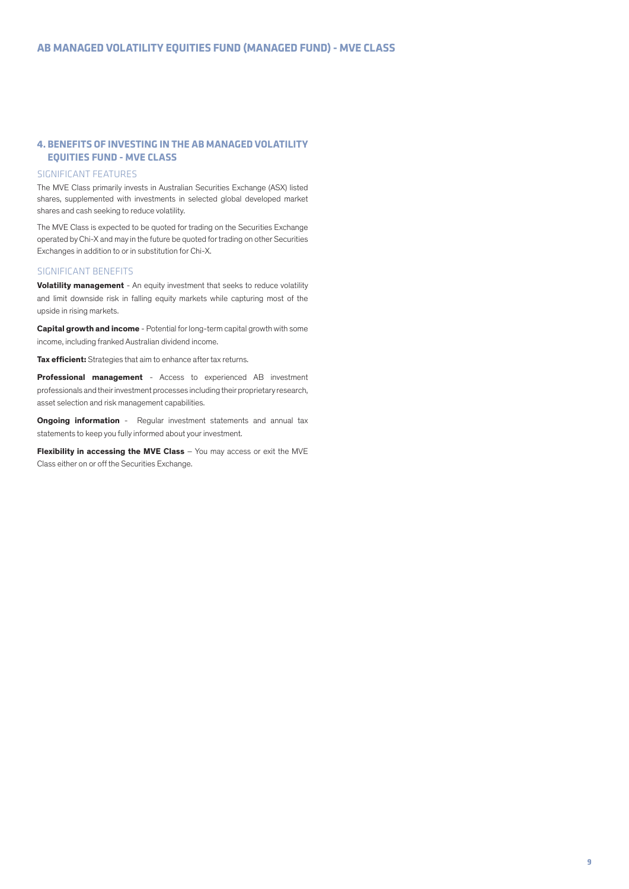## **4. BENEFITS OF INVESTING IN THE AB MANAGED VOLATILITY EQUITIES FUND - MVE CLASS**

#### SIGNIFICANT FEATURES

The MVE Class primarily invests in Australian Securities Exchange (ASX) listed shares, supplemented with investments in selected global developed market shares and cash seeking to reduce volatility.

The MVE Class is expected to be quoted for trading on the Securities Exchange operated by Chi-X and may in the future be quoted for trading on other Securities Exchanges in addition to or in substitution for Chi-X.

## SIGNIFICANT BENEFITS

**Volatility management** - An equity investment that seeks to reduce volatility and limit downside risk in falling equity markets while capturing most of the upside in rising markets.

**Capital growth and income** - Potential for long-term capital growth with some income, including franked Australian dividend income.

**Tax efficient:** Strategies that aim to enhance after tax returns.

**Professional management** - Access to experienced AB investment professionals and their investment processes including their proprietary research, asset selection and risk management capabilities.

**Ongoing information** - Regular investment statements and annual tax statements to keep you fully informed about your investment.

**Flexibility in accessing the MVE Class** – You may access or exit the MVE Class either on or off the Securities Exchange.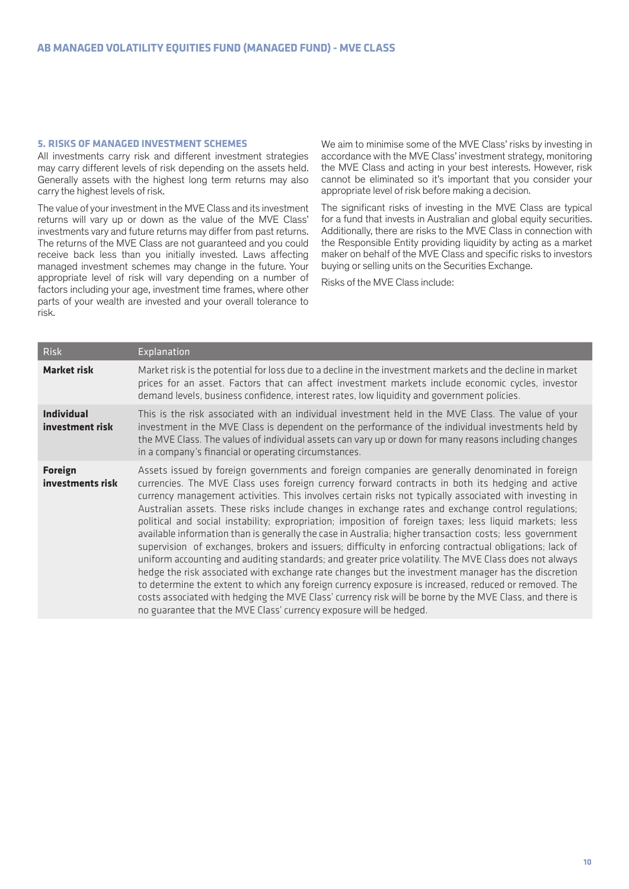#### **5. RISKS OF MANAGED INVESTMENT SCHEMES**

All investments carry risk and different investment strategies may carry different levels of risk depending on the assets held. Generally assets with the highest long term returns may also carry the highest levels of risk.

The value of your investment in the MVE Class and its investment returns will vary up or down as the value of the MVE Class' investments vary and future returns may differ from past returns. The returns of the MVE Class are not guaranteed and you could receive back less than you initially invested. Laws affecting managed investment schemes may change in the future. Your appropriate level of risk will vary depending on a number of factors including your age, investment time frames, where other parts of your wealth are invested and your overall tolerance to risk.

We aim to minimise some of the MVE Class' risks by investing in accordance with the MVE Class' investment strategy, monitoring the MVE Class and acting in your best interests. However, risk cannot be eliminated so it's important that you consider your appropriate level of risk before making a decision.

The significant risks of investing in the MVE Class are typical for a fund that invests in Australian and global equity securities. Additionally, there are risks to the MVE Class in connection with the Responsible Entity providing liquidity by acting as a market maker on behalf of the MVE Class and specific risks to investors buying or selling units on the Securities Exchange.

Risks of the MVE Class include:

| <b>Risk</b>                          | Explanation                                                                                                                                                                                                                                                                                                                                                                                                                                                                                                                                                                                                                                                                                                                                                                                                                                                                                                                                                                                                                                                                                                                                                                                                                                                    |
|--------------------------------------|----------------------------------------------------------------------------------------------------------------------------------------------------------------------------------------------------------------------------------------------------------------------------------------------------------------------------------------------------------------------------------------------------------------------------------------------------------------------------------------------------------------------------------------------------------------------------------------------------------------------------------------------------------------------------------------------------------------------------------------------------------------------------------------------------------------------------------------------------------------------------------------------------------------------------------------------------------------------------------------------------------------------------------------------------------------------------------------------------------------------------------------------------------------------------------------------------------------------------------------------------------------|
| <b>Market risk</b>                   | Market risk is the potential for loss due to a decline in the investment markets and the decline in market<br>prices for an asset. Factors that can affect investment markets include economic cycles, investor<br>demand levels, business confidence, interest rates, low liquidity and government policies.                                                                                                                                                                                                                                                                                                                                                                                                                                                                                                                                                                                                                                                                                                                                                                                                                                                                                                                                                  |
| <b>Individual</b><br>investment risk | This is the risk associated with an individual investment held in the MVE Class. The value of your<br>investment in the MVE Class is dependent on the performance of the individual investments held by<br>the MVE Class. The values of individual assets can vary up or down for many reasons including changes<br>in a company's financial or operating circumstances.                                                                                                                                                                                                                                                                                                                                                                                                                                                                                                                                                                                                                                                                                                                                                                                                                                                                                       |
| <b>Foreign</b><br>investments risk   | Assets issued by foreign governments and foreign companies are generally denominated in foreign<br>currencies. The MVE Class uses foreign currency forward contracts in both its hedging and active<br>currency management activities. This involves certain risks not typically associated with investing in<br>Australian assets. These risks include changes in exchange rates and exchange control regulations;<br>political and social instability; expropriation; imposition of foreign taxes; less liquid markets; less<br>available information than is generally the case in Australia; higher transaction costs; less government<br>supervision of exchanges, brokers and issuers; difficulty in enforcing contractual obligations; lack of<br>uniform accounting and auditing standards; and greater price volatility. The MVE Class does not always<br>hedge the risk associated with exchange rate changes but the investment manager has the discretion<br>to determine the extent to which any foreign currency exposure is increased, reduced or removed. The<br>costs associated with hedging the MVE Class' currency risk will be borne by the MVE Class, and there is<br>no guarantee that the MVE Class' currency exposure will be hedged. |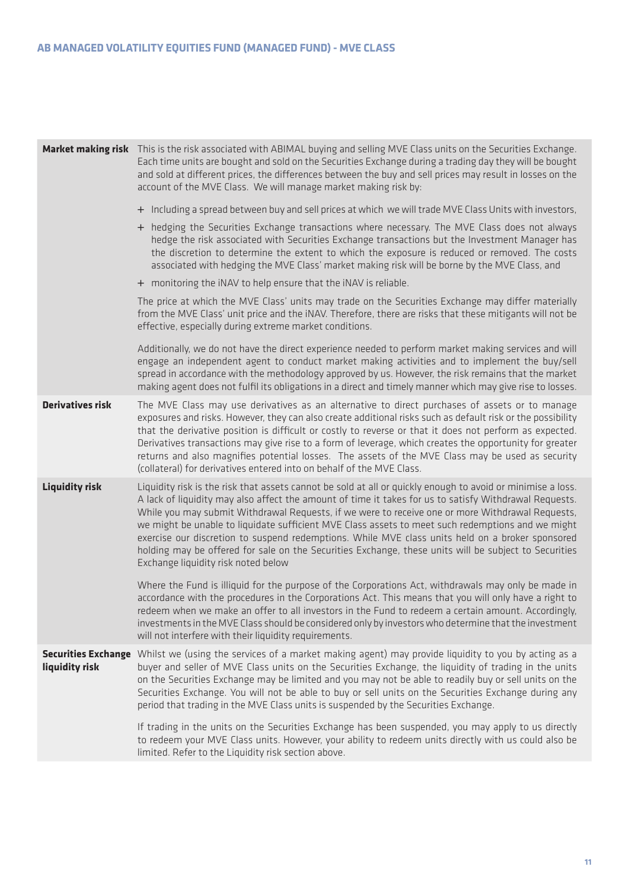|                                              | Market making risk This is the risk associated with ABIMAL buying and selling MVE Class units on the Securities Exchange.<br>Each time units are bought and sold on the Securities Exchange during a trading day they will be bought<br>and sold at different prices, the differences between the buy and sell prices may result in losses on the<br>account of the MVE Class. We will manage market making risk by:<br>+ Including a spread between buy and sell prices at which we will trade MVE Class Units with investors,<br>+ hedging the Securities Exchange transactions where necessary. The MVE Class does not always<br>hedge the risk associated with Securities Exchange transactions but the Investment Manager has<br>the discretion to determine the extent to which the exposure is reduced or removed. The costs<br>associated with hedging the MVE Class' market making risk will be borne by the MVE Class, and<br>+ monitoring the iNAV to help ensure that the iNAV is reliable. |
|----------------------------------------------|---------------------------------------------------------------------------------------------------------------------------------------------------------------------------------------------------------------------------------------------------------------------------------------------------------------------------------------------------------------------------------------------------------------------------------------------------------------------------------------------------------------------------------------------------------------------------------------------------------------------------------------------------------------------------------------------------------------------------------------------------------------------------------------------------------------------------------------------------------------------------------------------------------------------------------------------------------------------------------------------------------|
|                                              | The price at which the MVE Class' units may trade on the Securities Exchange may differ materially<br>from the MVE Class' unit price and the iNAV. Therefore, there are risks that these mitigants will not be<br>effective, especially during extreme market conditions.                                                                                                                                                                                                                                                                                                                                                                                                                                                                                                                                                                                                                                                                                                                               |
|                                              | Additionally, we do not have the direct experience needed to perform market making services and will<br>engage an independent agent to conduct market making activities and to implement the buy/sell<br>spread in accordance with the methodology approved by us. However, the risk remains that the market<br>making agent does not fulfil its obligations in a direct and timely manner which may give rise to losses.                                                                                                                                                                                                                                                                                                                                                                                                                                                                                                                                                                               |
| <b>Derivatives risk</b>                      | The MVE Class may use derivatives as an alternative to direct purchases of assets or to manage<br>exposures and risks. However, they can also create additional risks such as default risk or the possibility<br>that the derivative position is difficult or costly to reverse or that it does not perform as expected.<br>Derivatives transactions may give rise to a form of leverage, which creates the opportunity for greater<br>returns and also magnifies potential losses. The assets of the MVE Class may be used as security<br>(collateral) for derivatives entered into on behalf of the MVE Class.                                                                                                                                                                                                                                                                                                                                                                                        |
| <b>Liquidity risk</b>                        | Liquidity risk is the risk that assets cannot be sold at all or quickly enough to avoid or minimise a loss.<br>A lack of liquidity may also affect the amount of time it takes for us to satisfy Withdrawal Requests.<br>While you may submit Withdrawal Requests, if we were to receive one or more Withdrawal Requests,<br>we might be unable to liquidate sufficient MVE Class assets to meet such redemptions and we might<br>exercise our discretion to suspend redemptions. While MVE class units held on a broker sponsored<br>holding may be offered for sale on the Securities Exchange, these units will be subject to Securities<br>Exchange liquidity risk noted below                                                                                                                                                                                                                                                                                                                      |
|                                              | Where the Fund is illiquid for the purpose of the Corporations Act, withdrawals may only be made in<br>accordance with the procedures in the Corporations Act. This means that you will only have a right to<br>redeem when we make an offer to all investors in the Fund to redeem a certain amount. Accordingly,<br>investments in the MVE Class should be considered only by investors who determine that the investment<br>will not interfere with their liquidity requirements.                                                                                                                                                                                                                                                                                                                                                                                                                                                                                                                    |
| <b>Securities Exchange</b><br>liquidity risk | Whilst we (using the services of a market making agent) may provide liquidity to you by acting as a<br>buyer and seller of MVE Class units on the Securities Exchange, the liquidity of trading in the units<br>on the Securities Exchange may be limited and you may not be able to readily buy or sell units on the<br>Securities Exchange. You will not be able to buy or sell units on the Securities Exchange during any<br>period that trading in the MVE Class units is suspended by the Securities Exchange.                                                                                                                                                                                                                                                                                                                                                                                                                                                                                    |
|                                              | If trading in the units on the Securities Exchange has been suspended, you may apply to us directly<br>to redeem your MVE Class units. However, your ability to redeem units directly with us could also be<br>limited. Refer to the Liquidity risk section above.                                                                                                                                                                                                                                                                                                                                                                                                                                                                                                                                                                                                                                                                                                                                      |
|                                              |                                                                                                                                                                                                                                                                                                                                                                                                                                                                                                                                                                                                                                                                                                                                                                                                                                                                                                                                                                                                         |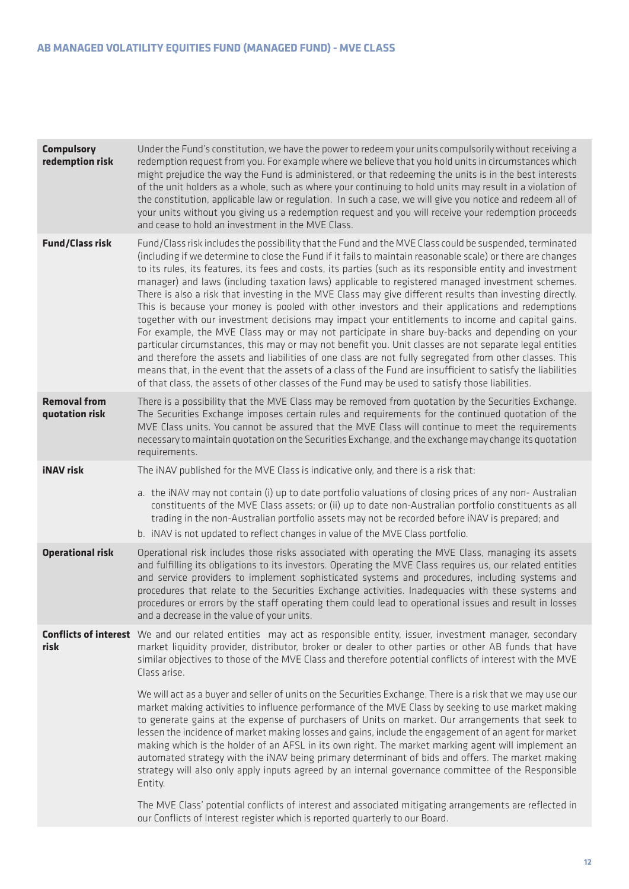| <b>Compulsory</b><br>redemption risk  | Under the Fund's constitution, we have the power to redeem your units compulsorily without receiving a<br>redemption request from you. For example where we believe that you hold units in circumstances which<br>might prejudice the way the Fund is administered, or that redeeming the units is in the best interests<br>of the unit holders as a whole, such as where your continuing to hold units may result in a violation of<br>the constitution, applicable law or regulation. In such a case, we will give you notice and redeem all of<br>your units without you giving us a redemption request and you will receive your redemption proceeds<br>and cease to hold an investment in the MVE Class.                                                                                                                                                                                                                                                                                                                                                                                                                                                                                                                                                                                           |
|---------------------------------------|---------------------------------------------------------------------------------------------------------------------------------------------------------------------------------------------------------------------------------------------------------------------------------------------------------------------------------------------------------------------------------------------------------------------------------------------------------------------------------------------------------------------------------------------------------------------------------------------------------------------------------------------------------------------------------------------------------------------------------------------------------------------------------------------------------------------------------------------------------------------------------------------------------------------------------------------------------------------------------------------------------------------------------------------------------------------------------------------------------------------------------------------------------------------------------------------------------------------------------------------------------------------------------------------------------|
| <b>Fund/Class risk</b>                | Fund/Class risk includes the possibility that the Fund and the MVE Class could be suspended, terminated<br>(including if we determine to close the Fund if it fails to maintain reasonable scale) or there are changes<br>to its rules, its features, its fees and costs, its parties (such as its responsible entity and investment<br>manager) and laws (including taxation laws) applicable to registered managed investment schemes.<br>There is also a risk that investing in the MVE Class may give different results than investing directly.<br>This is because your money is pooled with other investors and their applications and redemptions<br>together with our investment decisions may impact your entitlements to income and capital gains.<br>For example, the MVE Class may or may not participate in share buy-backs and depending on your<br>particular circumstances, this may or may not benefit you. Unit classes are not separate legal entities<br>and therefore the assets and liabilities of one class are not fully segregated from other classes. This<br>means that, in the event that the assets of a class of the Fund are insufficient to satisfy the liabilities<br>of that class, the assets of other classes of the Fund may be used to satisfy those liabilities. |
| <b>Removal from</b><br>quotation risk | There is a possibility that the MVE Class may be removed from quotation by the Securities Exchange.<br>The Securities Exchange imposes certain rules and requirements for the continued quotation of the<br>MVE Class units. You cannot be assured that the MVE Class will continue to meet the requirements<br>necessary to maintain quotation on the Securities Exchange, and the exchange may change its quotation<br>requirements.                                                                                                                                                                                                                                                                                                                                                                                                                                                                                                                                                                                                                                                                                                                                                                                                                                                                  |
| <b>iNAV</b> risk                      | The iNAV published for the MVE Class is indicative only, and there is a risk that:                                                                                                                                                                                                                                                                                                                                                                                                                                                                                                                                                                                                                                                                                                                                                                                                                                                                                                                                                                                                                                                                                                                                                                                                                      |
|                                       | a. the iNAV may not contain (i) up to date portfolio valuations of closing prices of any non-Australian<br>constituents of the MVE Class assets; or (ii) up to date non-Australian portfolio constituents as all<br>trading in the non-Australian portfolio assets may not be recorded before iNAV is prepared; and<br>b. iNAV is not updated to reflect changes in value of the MVE Class portfolio.                                                                                                                                                                                                                                                                                                                                                                                                                                                                                                                                                                                                                                                                                                                                                                                                                                                                                                   |
| <b>Operational risk</b>               | Operational risk includes those risks associated with operating the MVE Class, managing its assets<br>and fulfilling its obligations to its investors. Operating the MVE Class requires us, our related entities<br>and service providers to implement sophisticated systems and procedures, including systems and<br>procedures that relate to the Securities Exchange activities. Inadequacies with these systems and<br>procedures or errors by the staff operating them could lead to operational issues and result in losses<br>and a decrease in the value of your units.                                                                                                                                                                                                                                                                                                                                                                                                                                                                                                                                                                                                                                                                                                                         |
| risk                                  | <b>Conflicts of interest</b> We and our related entities may act as responsible entity, issuer, investment manager, secondary<br>market liquidity provider, distributor, broker or dealer to other parties or other AB funds that have<br>similar objectives to those of the MVE Class and therefore potential conflicts of interest with the MVE<br>Class arise.                                                                                                                                                                                                                                                                                                                                                                                                                                                                                                                                                                                                                                                                                                                                                                                                                                                                                                                                       |
|                                       | We will act as a buyer and seller of units on the Securities Exchange. There is a risk that we may use our<br>market making activities to influence performance of the MVE Class by seeking to use market making<br>to generate gains at the expense of purchasers of Units on market. Our arrangements that seek to<br>lessen the incidence of market making losses and gains, include the engagement of an agent for market<br>making which is the holder of an AFSL in its own right. The market marking agent will implement an<br>automated strategy with the iNAV being primary determinant of bids and offers. The market making<br>strategy will also only apply inputs agreed by an internal governance committee of the Responsible<br>Entity.                                                                                                                                                                                                                                                                                                                                                                                                                                                                                                                                                |
|                                       | The MVE Class' potential conflicts of interest and associated mitigating arrangements are reflected in<br>our Conflicts of Interest register which is reported quarterly to our Board.                                                                                                                                                                                                                                                                                                                                                                                                                                                                                                                                                                                                                                                                                                                                                                                                                                                                                                                                                                                                                                                                                                                  |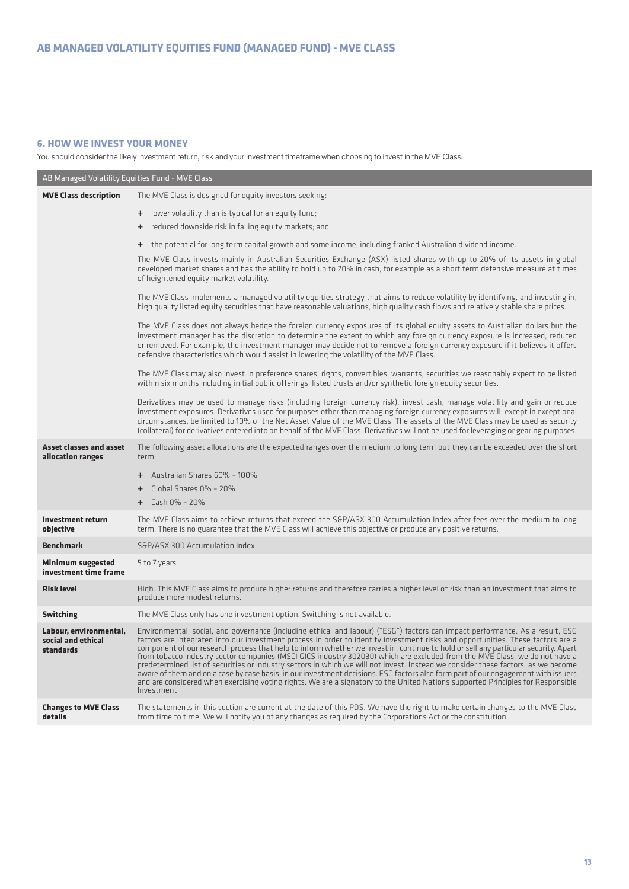## **6. HOW WE INVEST YOUR MONEY**

You should consider the likely investment return, risk and your Investment timeframe when choosing to invest in the MVE Class.

| AB Managed Volatility Equities Fund - MVE Class           |                                                                                                                                                                                                                                                                                                                                                                                                                                                                                                                                                                                                                                                                                                                                                                                                                                                                                                                                                                   |  |  |
|-----------------------------------------------------------|-------------------------------------------------------------------------------------------------------------------------------------------------------------------------------------------------------------------------------------------------------------------------------------------------------------------------------------------------------------------------------------------------------------------------------------------------------------------------------------------------------------------------------------------------------------------------------------------------------------------------------------------------------------------------------------------------------------------------------------------------------------------------------------------------------------------------------------------------------------------------------------------------------------------------------------------------------------------|--|--|
| <b>MVE Class description</b>                              | The MVE Class is designed for equity investors seeking:                                                                                                                                                                                                                                                                                                                                                                                                                                                                                                                                                                                                                                                                                                                                                                                                                                                                                                           |  |  |
|                                                           | + lower volatility than is typical for an equity fund;                                                                                                                                                                                                                                                                                                                                                                                                                                                                                                                                                                                                                                                                                                                                                                                                                                                                                                            |  |  |
|                                                           | + reduced downside risk in falling equity markets; and                                                                                                                                                                                                                                                                                                                                                                                                                                                                                                                                                                                                                                                                                                                                                                                                                                                                                                            |  |  |
|                                                           | + the potential for long term capital growth and some income, including franked Australian dividend income.                                                                                                                                                                                                                                                                                                                                                                                                                                                                                                                                                                                                                                                                                                                                                                                                                                                       |  |  |
|                                                           | The MVE Class invests mainly in Australian Securities Exchange (ASX) listed shares with up to 20% of its assets in global<br>developed market shares and has the ability to hold up to 20% in cash, for example as a short term defensive measure at times<br>of heightened equity market volatility.                                                                                                                                                                                                                                                                                                                                                                                                                                                                                                                                                                                                                                                             |  |  |
|                                                           | The MVE Class implements a managed volatility equities strategy that aims to reduce volatility by identifying, and investing in,<br>high quality listed equity securities that have reasonable valuations, high quality cash flows and relatively stable share prices.                                                                                                                                                                                                                                                                                                                                                                                                                                                                                                                                                                                                                                                                                            |  |  |
|                                                           | The MVE Class does not always hedge the foreign currency exposures of its global equity assets to Australian dollars but the<br>investment manager has the discretion to determine the extent to which any foreign currency exposure is increased, reduced<br>or removed. For example, the investment manager may decide not to remove a foreign currency exposure if it believes it offers<br>defensive characteristics which would assist in lowering the volatility of the MVE Class.                                                                                                                                                                                                                                                                                                                                                                                                                                                                          |  |  |
|                                                           | The MVE Class may also invest in preference shares, rights, convertibles, warrants, securities we reasonably expect to be listed<br>within six months including initial public offerings, listed trusts and/or synthetic foreign equity securities.                                                                                                                                                                                                                                                                                                                                                                                                                                                                                                                                                                                                                                                                                                               |  |  |
|                                                           | Derivatives may be used to manage risks (including foreign currency risk), invest cash, manage volatility and gain or reduce<br>investment exposures. Derivatives used for purposes other than managing foreign currency exposures will, except in exceptional<br>circumstances, be limited to 10% of the Net Asset Value of the MVE Class. The assets of the MVE Class may be used as security<br>(collateral) for derivatives entered into on behalf of the MVE Class. Derivatives will not be used for leveraging or gearing purposes.                                                                                                                                                                                                                                                                                                                                                                                                                         |  |  |
| <b>Asset classes and asset</b><br>allocation ranges       | The following asset allocations are the expected ranges over the medium to long term but they can be exceeded over the short<br>term:                                                                                                                                                                                                                                                                                                                                                                                                                                                                                                                                                                                                                                                                                                                                                                                                                             |  |  |
|                                                           | + Australian Shares 60% - 100%                                                                                                                                                                                                                                                                                                                                                                                                                                                                                                                                                                                                                                                                                                                                                                                                                                                                                                                                    |  |  |
|                                                           | + Global Shares 0% - 20%                                                                                                                                                                                                                                                                                                                                                                                                                                                                                                                                                                                                                                                                                                                                                                                                                                                                                                                                          |  |  |
|                                                           | $+$ Cash 0% - 20%                                                                                                                                                                                                                                                                                                                                                                                                                                                                                                                                                                                                                                                                                                                                                                                                                                                                                                                                                 |  |  |
| <b>Investment return</b><br>obiective                     | The MVE Class aims to achieve returns that exceed the S&P/ASX 300 Accumulation Index after fees over the medium to long<br>term. There is no guarantee that the MVE Class will achieve this objective or produce any positive returns.                                                                                                                                                                                                                                                                                                                                                                                                                                                                                                                                                                                                                                                                                                                            |  |  |
| <b>Benchmark</b>                                          | S&P/ASX 300 Accumulation Index                                                                                                                                                                                                                                                                                                                                                                                                                                                                                                                                                                                                                                                                                                                                                                                                                                                                                                                                    |  |  |
| <b>Minimum suggested</b><br>investment time frame         | 5 to 7 years                                                                                                                                                                                                                                                                                                                                                                                                                                                                                                                                                                                                                                                                                                                                                                                                                                                                                                                                                      |  |  |
| <b>Risk level</b>                                         | High. This MVE Class aims to produce higher returns and therefore carries a higher level of risk than an investment that aims to<br>produce more modest returns.                                                                                                                                                                                                                                                                                                                                                                                                                                                                                                                                                                                                                                                                                                                                                                                                  |  |  |
| <b>Switching</b>                                          | The MVE Class only has one investment option. Switching is not available.                                                                                                                                                                                                                                                                                                                                                                                                                                                                                                                                                                                                                                                                                                                                                                                                                                                                                         |  |  |
| Labour, environmental,<br>social and ethical<br>standards | Environmental, social, and governance (including ethical and labour) ("ESG") factors can impact performance. As a result, ESG<br>factors are integrated into our investment process in order to identify investment risks and opportunities. These factors are a<br>component of our research process that help to inform whether we invest in, continue to hold or sell any particular security. Apart<br>from tobacco industry sector companies (MSCI GICS industry 302030) which are excluded from the MVE Class, we do not have a<br>predetermined list of securities or industry sectors in which we will not invest. Instead we consider these factors, as we become<br>aware of them and on a case by case basis, in our investment decisions. ESG factors also form part of our engagement with issuers<br>and are considered when exercising voting rights. We are a signatory to the United Nations supported Principles for Responsible<br>Investment. |  |  |
| <b>Changes to MVE Class</b><br>details                    | The statements in this section are current at the date of this PDS. We have the right to make certain changes to the MVE Class<br>from time to time. We will notify you of any changes as required by the Corporations Act or the constitution.                                                                                                                                                                                                                                                                                                                                                                                                                                                                                                                                                                                                                                                                                                                   |  |  |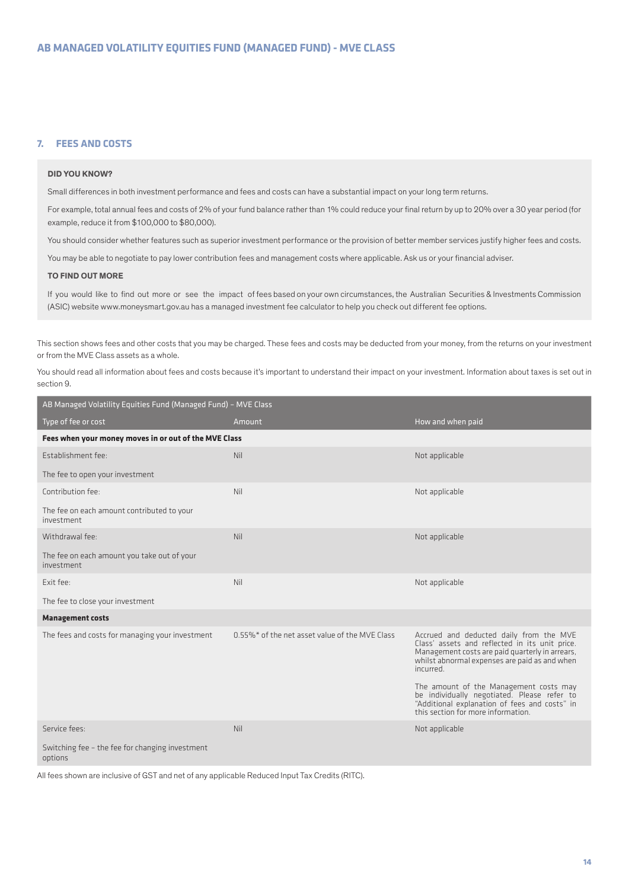## **7. FEES AND COSTS**

#### **DID YOU KNOW?**

Small differences in both investment performance and fees and costs can have a substantial impact on your long term returns.

For example, total annual fees and costs of 2% of your fund balance rather than 1% could reduce your final return by up to 20% over a 30 year period (for example, reduce it from \$100,000 to \$80,000).

You should consider whether features such as superior investment performance or the provision of better member services justify higher fees and costs.

You may be able to negotiate to pay lower contribution fees and management costs where applicable. Ask us or your financial adviser.

#### **TO FIND OUT MORE**

If you would like to find out more or see the impact of fees based on your own circumstances, the Australian Securities & Investments Commission (ASIC) website www.moneysmart.gov.au has a managed investment fee calculator to help you check out different fee options.

This section shows fees and other costs that you may be charged. These fees and costs may be deducted from your money, from the returns on your investment or from the MVE Class assets as a whole.

You should read all information about fees and costs because it's important to understand their impact on your investment. Information about taxes is set out in section 9.

| AB Managed Volatility Equities Fund (Managed Fund) - MVE Class |                                                |                                                                                                                                                                                                            |  |
|----------------------------------------------------------------|------------------------------------------------|------------------------------------------------------------------------------------------------------------------------------------------------------------------------------------------------------------|--|
| Type of fee or cost                                            | Amount                                         | How and when paid                                                                                                                                                                                          |  |
| Fees when your money moves in or out of the MVE Class          |                                                |                                                                                                                                                                                                            |  |
| Establishment fee:                                             | <b>Nil</b>                                     | Not applicable                                                                                                                                                                                             |  |
| The fee to open your investment                                |                                                |                                                                                                                                                                                                            |  |
| Contribution fee:                                              | Nil                                            | Not applicable                                                                                                                                                                                             |  |
| The fee on each amount contributed to your<br>investment       |                                                |                                                                                                                                                                                                            |  |
| Withdrawal fee:                                                | Nil                                            | Not applicable                                                                                                                                                                                             |  |
| The fee on each amount you take out of your<br>investment      |                                                |                                                                                                                                                                                                            |  |
| Exit fee:                                                      | Nil                                            | Not applicable                                                                                                                                                                                             |  |
| The fee to close your investment                               |                                                |                                                                                                                                                                                                            |  |
| <b>Management costs</b>                                        |                                                |                                                                                                                                                                                                            |  |
| The fees and costs for managing your investment                | 0.55%* of the net asset value of the MVE Class | Accrued and deducted daily from the MVE<br>Class' assets and reflected in its unit price.<br>Management costs are paid quarterly in arrears,<br>whilst abnormal expenses are paid as and when<br>incurred. |  |
|                                                                |                                                | The amount of the Management costs may<br>be individually negotiated. Please refer to<br>"Additional explanation of fees and costs" in<br>this section for more information.                               |  |
| Service fees:                                                  | Nil                                            | Not applicable                                                                                                                                                                                             |  |
| Switching fee - the fee for changing investment<br>options     |                                                |                                                                                                                                                                                                            |  |

All fees shown are inclusive of GST and net of any applicable Reduced Input Tax Credits (RITC).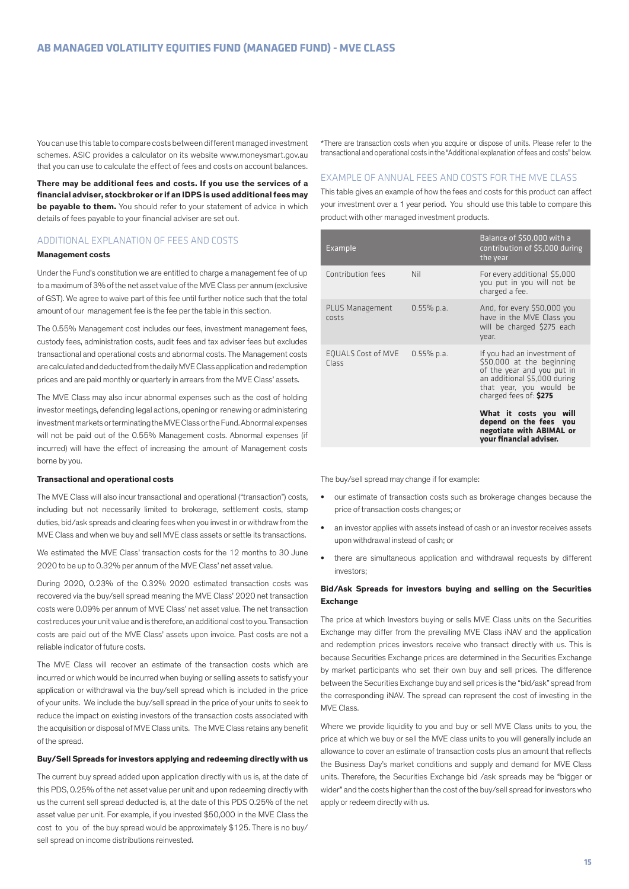You can use this table to compare costs between different managed investment schemes. ASIC provides a calculator on its website www.moneysmart.gov.au that you can use to calculate the effect of fees and costs on account balances.

**There may be additional fees and costs. If you use the services of a financial adviser, stockbroker or if an IDPS is used additional fees may be payable to them.** You should refer to your statement of advice in which details of fees payable to your financial adviser are set out.

## ADDITIONAL EXPLANATION OF FEES AND COSTS

#### **Management costs**

Under the Fund's constitution we are entitled to charge a management fee of up to a maximum of 3% of the net asset value of the MVE Class per annum (exclusive of GST). We agree to waive part of this fee until further notice such that the total amount of our management fee is the fee per the table in this section.

The 0.55% Management cost includes our fees, investment management fees, custody fees, administration costs, audit fees and tax adviser fees but excludes transactional and operational costs and abnormal costs. The Management costs are calculated and deducted from the daily MVE Class application and redemption prices and are paid monthly or quarterly in arrears from the MVE Class' assets.

The MVE Class may also incur abnormal expenses such as the cost of holding investor meetings, defending legal actions, opening or renewing or administering investment markets or terminating the MVE Class or the Fund. Abnormal expenses will not be paid out of the 0.55% Management costs. Abnormal expenses (if incurred) will have the effect of increasing the amount of Management costs borne by you.

#### **Transactional and operational costs**

The MVE Class will also incur transactional and operational ("transaction") costs, including but not necessarily limited to brokerage, settlement costs, stamp duties, bid/ask spreads and clearing fees when you invest in or withdraw from the MVE Class and when we buy and sell MVE class assets or settle its transactions.

We estimated the MVE Class' transaction costs for the 12 months to 30 June 2020 to be up to 0.32% per annum of the MVE Class' net asset value.

During 2020, 0.23% of the 0.32% 2020 estimated transaction costs was recovered via the buy/sell spread meaning the MVE Class' 2020 net transaction costs were 0.09% per annum of MVE Class' net asset value. The net transaction cost reduces your unit value and is therefore, an additional cost to you. Transaction costs are paid out of the MVE Class' assets upon invoice. Past costs are not a reliable indicator of future costs.

The MVE Class will recover an estimate of the transaction costs which are incurred or which would be incurred when buying or selling assets to satisfy your application or withdrawal via the buy/sell spread which is included in the price of your units. We include the buy/sell spread in the price of your units to seek to reduce the impact on existing investors of the transaction costs associated with the acquisition or disposal of MVE Class units. The MVE Class retains any benefit of the spread.

#### **Buy/Sell Spreads for investors applying and redeeming directly with us**

The current buy spread added upon application directly with us is, at the date of this PDS, 0.25% of the net asset value per unit and upon redeeming directly with us the current sell spread deducted is, at the date of this PDS 0.25% of the net asset value per unit. For example, if you invested \$50,000 in the MVE Class the cost to you of the buy spread would be approximately \$125. There is no buy/ sell spread on income distributions reinvested.

\*There are transaction costs when you acquire or dispose of units. Please refer to the transactional and operational costs in the "Additional explanation of fees and costs" below.

## EXAMPLE OF ANNUAL FEES AND COSTS FOR THE MVE CLASS

This table gives an example of how the fees and costs for this product can affect your investment over a 1 year period. You should use this table to compare this product with other managed investment products.

| Example                            |               | Balance of \$50,000 with a<br>contribution of \$5,000 during<br>the year                                                                                                    |
|------------------------------------|---------------|-----------------------------------------------------------------------------------------------------------------------------------------------------------------------------|
| Contribution fees                  | Nil           | For every additional \$5,000<br>you put in you will not be<br>charged a fee.                                                                                                |
| PLUS Management<br>rosts           | $0.55\%$ p.a. | And, for every \$50,000 you<br>have in the MVE Class you<br>will be charged \$275 each<br>vear.                                                                             |
| <b>EQUALS Cost of MVE</b><br>Class | $0.55\%$ p.a. | If you had an investment of<br>\$50,000 at the beginning<br>of the year and you put in<br>an additional \$5,000 during<br>that year, you would be<br>charged fees of: \$275 |
|                                    |               | What it costs you will<br>depend on the fees you<br>negotiate with ABIMAL or<br>your financial adviser.                                                                     |

The buy/sell spread may change if for example:

- **•** our estimate of transaction costs such as brokerage changes because the price of transaction costs changes; or
- **•** an investor applies with assets instead of cash or an investor receives assets upon withdrawal instead of cash; or
- **•** there are simultaneous application and withdrawal requests by different investors;

#### **Bid/Ask Spreads for investors buying and selling on the Securities Exchange**

The price at which Investors buying or sells MVE Class units on the Securities Exchange may differ from the prevailing MVE Class iNAV and the application and redemption prices investors receive who transact directly with us. This is because Securities Exchange prices are determined in the Securities Exchange by market participants who set their own buy and sell prices. The difference between the Securities Exchange buy and sell prices is the "bid/ask" spread from the corresponding iNAV. The spread can represent the cost of investing in the MVE Class.

Where we provide liquidity to you and buy or sell MVE Class units to you, the price at which we buy or sell the MVE class units to you will generally include an allowance to cover an estimate of transaction costs plus an amount that reflects the Business Day's market conditions and supply and demand for MVE Class units. Therefore, the Securities Exchange bid /ask spreads may be "bigger or wider" and the costs higher than the cost of the buy/sell spread for investors who apply or redeem directly with us.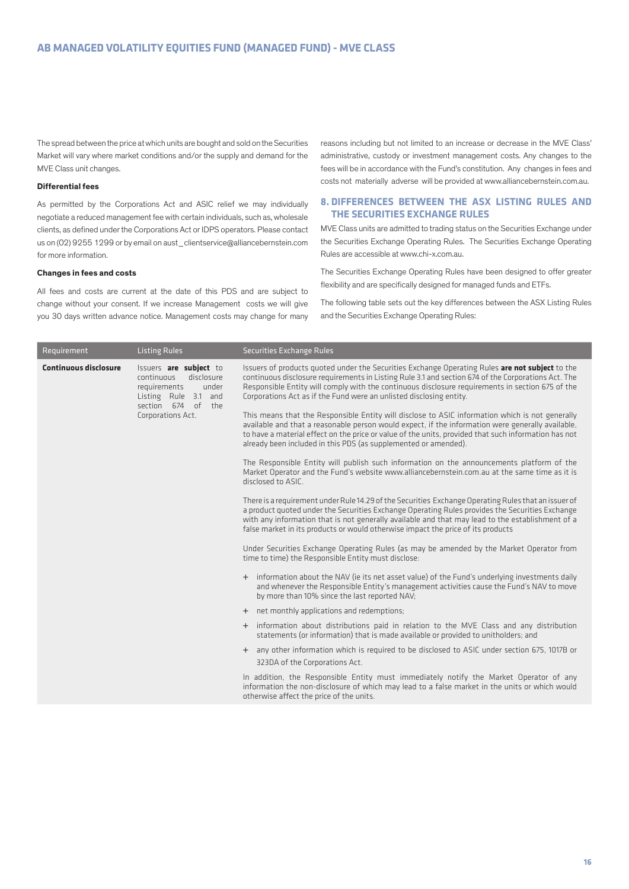The spread between the price at which units are bought and sold on the Securities Market will vary where market conditions and/or the supply and demand for the MVE Class unit changes.

#### **Differential fees**

As permitted by the Corporations Act and ASIC relief we may individually negotiate a reduced management fee with certain individuals, such as, wholesale clients, as defined under the Corporations Act or IDPS operators. Please contact us on (02) 9255 1299 or by email on aust\_clientservice@alliancebernstein.com for more information.

#### **Changes in fees and costs**

All fees and costs are current at the date of this PDS and are subject to change without your consent. If we increase Management costs we will give you 30 days written advance notice. Management costs may change for many reasons including but not limited to an increase or decrease in the MVE Class' administrative, custody or investment management costs. Any changes to the fees will be in accordance with the Fund's constitution. Any changes in fees and costs not materially adverse will be provided at www.alliancebernstein.com.au.

## **8. DIFFERENCES BETWEEN THE ASX LISTING RULES AND THE SECURITIES EXCHANGE RULES**

MVE Class units are admitted to trading status on the Securities Exchange under the Securities Exchange Operating Rules. The Securities Exchange Operating Rules are accessible at www.chi-x.com.au.

The Securities Exchange Operating Rules have been designed to offer greater flexibility and are specifically designed for managed funds and ETFs.

The following table sets out the key differences between the ASX Listing Rules and the Securities Exchange Operating Rules:

| Requirement                  | <b>Listing Rules</b>                                                                                                                           | <b>Securities Exchange Rules</b>                                                                                                                                                                                                                                                                                                                                                                |
|------------------------------|------------------------------------------------------------------------------------------------------------------------------------------------|-------------------------------------------------------------------------------------------------------------------------------------------------------------------------------------------------------------------------------------------------------------------------------------------------------------------------------------------------------------------------------------------------|
| <b>Continuous disclosure</b> | Issuers are subject to<br>continuous<br>disclosure<br>under<br>requirements<br>Listing Rule 3.1 and<br>section 674 of the<br>Corporations Act. | Issuers of products quoted under the Securities Exchange Operating Rules are not subject to the<br>continuous disclosure requirements in Listing Rule 3.1 and section 674 of the Corporations Act. The<br>Responsible Entity will comply with the continuous disclosure requirements in section 675 of the<br>Corporations Act as if the Fund were an unlisted disclosing entity.               |
|                              |                                                                                                                                                | This means that the Responsible Entity will disclose to ASIC information which is not generally<br>available and that a reasonable person would expect, if the information were generally available,<br>to have a material effect on the price or value of the units, provided that such information has not<br>already been included in this PDS (as supplemented or amended).                 |
|                              |                                                                                                                                                | The Responsible Entity will publish such information on the announcements platform of the<br>Market Operator and the Fund's website www.alliancebernstein.com.au at the same time as it is<br>disclosed to ASIC.                                                                                                                                                                                |
|                              |                                                                                                                                                | There is a requirement under Rule 14.29 of the Securities Exchange Operating Rules that an issuer of<br>a product quoted under the Securities Exchange Operating Rules provides the Securities Exchange<br>with any information that is not generally available and that may lead to the establishment of a<br>false market in its products or would otherwise impact the price of its products |
|                              |                                                                                                                                                | Under Securities Exchange Operating Rules (as may be amended by the Market Operator from<br>time to time) the Responsible Entity must disclose:                                                                                                                                                                                                                                                 |
|                              |                                                                                                                                                | + information about the NAV (ie its net asset value) of the Fund's underlying investments daily<br>and whenever the Responsible Entity's management activities cause the Fund's NAV to move<br>by more than 10% since the last reported NAV;                                                                                                                                                    |
|                              |                                                                                                                                                | + net monthly applications and redemptions;                                                                                                                                                                                                                                                                                                                                                     |
|                              |                                                                                                                                                | + information about distributions paid in relation to the MVE Class and any distribution<br>statements (or information) that is made available or provided to unitholders; and                                                                                                                                                                                                                  |
|                              |                                                                                                                                                | + any other information which is required to be disclosed to ASIC under section 675, 1017B or                                                                                                                                                                                                                                                                                                   |
|                              |                                                                                                                                                | 323DA of the Corporations Act.                                                                                                                                                                                                                                                                                                                                                                  |
|                              |                                                                                                                                                | In addition, the Responsible Entity must immediately notify the Market Operator of any<br>information the non-disclosure of which may lead to a false market in the units or which would<br>otherwise affect the price of the units.                                                                                                                                                            |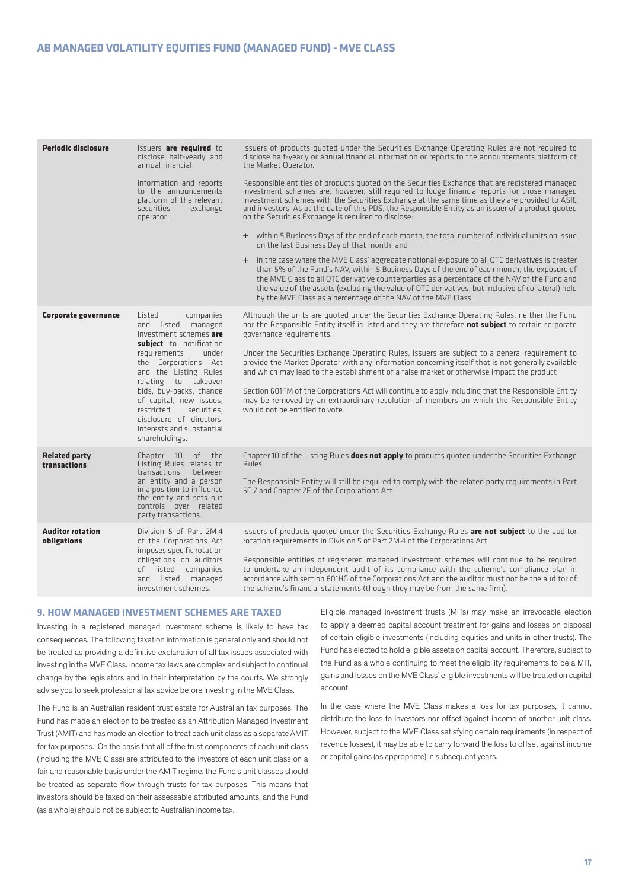| Periodic disclosure                    | Issuers are required to<br>disclose half-yearly and<br>annual financial<br>information and reports<br>to the announcements<br>platform of the relevant<br>securities<br>exchange<br>operator.                                                                                                                                                                  | Issuers of products quoted under the Securities Exchange Operating Rules are not required to<br>disclose half-yearly or annual financial information or reports to the announcements platform of<br>the Market Operator.<br>Responsible entities of products quoted on the Securities Exchange that are registered managed<br>investment schemes are, however, still required to lodge financial reports for those managed<br>investment schemes with the Securities Exchange at the same time as they are provided to ASIC<br>and investors. As at the date of this PDS, the Responsible Entity as an issuer of a product quoted<br>on the Securities Exchange is required to disclose:<br>+ within 5 Business Days of the end of each month, the total number of individual units on issue<br>on the last Business Day of that month; and<br>+ in the case where the MVE Class' aggregate notional exposure to all OTC derivatives is greater<br>than 5% of the Fund's NAV, within 5 Business Days of the end of each month, the exposure of<br>the MVE Class to all OTC derivative counterparties as a percentage of the NAV of the Fund and<br>the value of the assets (excluding the value of OTC derivatives, but inclusive of collateral) held<br>by the MVE Class as a percentage of the NAV of the MVE Class. |
|----------------------------------------|----------------------------------------------------------------------------------------------------------------------------------------------------------------------------------------------------------------------------------------------------------------------------------------------------------------------------------------------------------------|------------------------------------------------------------------------------------------------------------------------------------------------------------------------------------------------------------------------------------------------------------------------------------------------------------------------------------------------------------------------------------------------------------------------------------------------------------------------------------------------------------------------------------------------------------------------------------------------------------------------------------------------------------------------------------------------------------------------------------------------------------------------------------------------------------------------------------------------------------------------------------------------------------------------------------------------------------------------------------------------------------------------------------------------------------------------------------------------------------------------------------------------------------------------------------------------------------------------------------------------------------------------------------------------------------------------|
| Corporate governance                   | companies<br>Listed<br>and listed managed<br>investment schemes are<br>subject to notification<br>requirements<br>under<br>the Corporations Act<br>and the Listing Rules<br>relating to takeover<br>bids, buy-backs, change<br>of capital, new issues,<br>restricted<br>securities.<br>disclosure of directors'<br>interests and substantial<br>shareholdings. | Although the units are quoted under the Securities Exchange Operating Rules, neither the Fund<br>nor the Responsible Entity itself is listed and they are therefore not subject to certain corporate<br>governance requirements.<br>Under the Securities Exchange Operating Rules, issuers are subject to a general requirement to<br>provide the Market Operator with any information concerning itself that is not generally available<br>and which may lead to the establishment of a false market or otherwise impact the product<br>Section 601FM of the Corporations Act will continue to apply including that the Responsible Entity<br>may be removed by an extraordinary resolution of members on which the Responsible Entity<br>would not be entitled to vote.                                                                                                                                                                                                                                                                                                                                                                                                                                                                                                                                              |
| <b>Related party</b><br>transactions   | Chapter 10 of the<br>Listing Rules relates to<br>transactions<br>between<br>an entity and a person<br>in a position to influence<br>the entity and sets out<br>controls over related<br>party transactions.                                                                                                                                                    | Chapter 10 of the Listing Rules <b>does not apply</b> to products quoted under the Securities Exchange<br>Rules.<br>The Responsible Entity will still be required to comply with the related party requirements in Part<br>5C.7 and Chapter 2E of the Corporations Act.                                                                                                                                                                                                                                                                                                                                                                                                                                                                                                                                                                                                                                                                                                                                                                                                                                                                                                                                                                                                                                                |
| <b>Auditor rotation</b><br>obligations | Division 5 of Part 2M.4<br>of the Corporations Act<br>imposes specific rotation<br>obligations on auditors<br>of listed companies<br>listed managed<br>and<br>investment schemes.                                                                                                                                                                              | Issuers of products quoted under the Securities Exchange Rules are not subject to the auditor<br>rotation requirements in Division 5 of Part 2M.4 of the Corporations Act.<br>Responsible entities of registered managed investment schemes will continue to be required<br>to undertake an independent audit of its compliance with the scheme's compliance plan in<br>accordance with section 601HG of the Corporations Act and the auditor must not be the auditor of<br>the scheme's financial statements (though they may be from the same firm).                                                                                                                                                                                                                                                                                                                                                                                                                                                                                                                                                                                                                                                                                                                                                                 |

#### **9. HOW MANAGED INVESTMENT SCHEMES ARE TAXED**

Investing in a registered managed investment scheme is likely to have tax consequences. The following taxation information is general only and should not be treated as providing a definitive explanation of all tax issues associated with investing in the MVE Class. Income tax laws are complex and subject to continual change by the legislators and in their interpretation by the courts. We strongly advise you to seek professional tax advice before investing in the MVE Class.

The Fund is an Australian resident trust estate for Australian tax purposes. The Fund has made an election to be treated as an Attribution Managed Investment Trust (AMIT) and has made an election to treat each unit class as a separate AMIT for tax purposes. On the basis that all of the trust components of each unit class (including the MVE Class) are attributed to the investors of each unit class on a fair and reasonable basis under the AMIT regime, the Fund's unit classes should be treated as separate flow through trusts for tax purposes. This means that investors should be taxed on their assessable attributed amounts, and the Fund (as a whole) should not be subject to Australian income tax.

Eligible managed investment trusts (MITs) may make an irrevocable election to apply a deemed capital account treatment for gains and losses on disposal of certain eligible investments (including equities and units in other trusts). The Fund has elected to hold eligible assets on capital account. Therefore, subject to the Fund as a whole continuing to meet the eligibility requirements to be a MIT, gains and losses on the MVE Class' eligible investments will be treated on capital account.

In the case where the MVE Class makes a loss for tax purposes, it cannot distribute the loss to investors nor offset against income of another unit class. However, subject to the MVE Class satisfying certain requirements (in respect of revenue losses), it may be able to carry forward the loss to offset against income or capital gains (as appropriate) in subsequent years.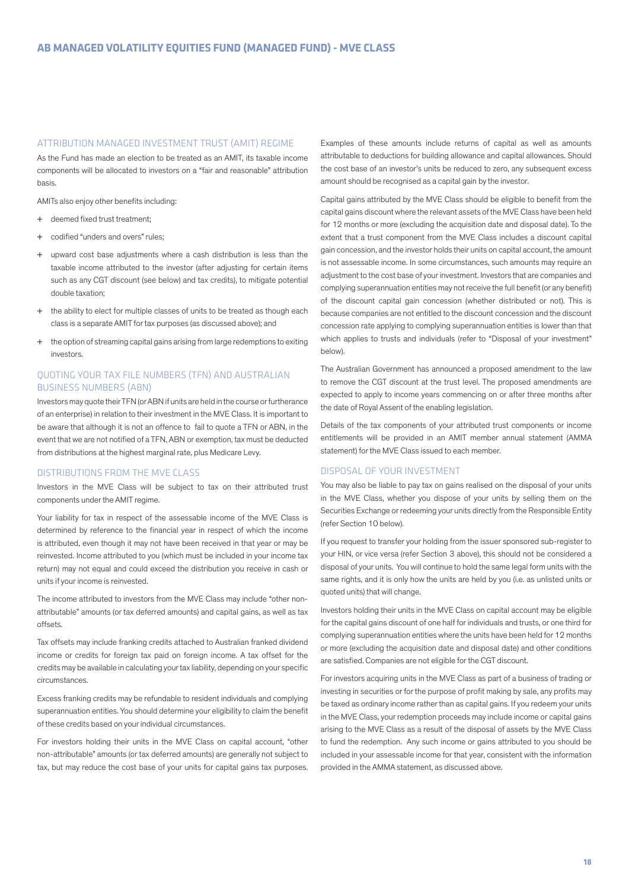#### ATTRIBUTION MANAGED INVESTMENT TRUST (AMIT) REGIME

As the Fund has made an election to be treated as an AMIT, its taxable income components will be allocated to investors on a "fair and reasonable" attribution basis.

AMITs also enjoy other benefits including:

- + deemed fixed trust treatment;
- codified "unders and overs" rules;
- + upward cost base adjustments where a cash distribution is less than the taxable income attributed to the investor (after adjusting for certain items such as any CGT discount (see below) and tax credits), to mitigate potential double taxation;
- + the ability to elect for multiple classes of units to be treated as though each class is a separate AMIT for tax purposes (as discussed above); and
- + the option of streaming capital gains arising from large redemptions to exiting investors.

## QUOTING YOUR TAX FILE NUMBERS (TFN) AND AUSTRALIAN BUSINESS NUMBERS (ABN)

Investors may quote their TFN (or ABN if units are held in the course or furtherance of an enterprise) in relation to their investment in the MVE Class. It is important to be aware that although it is not an offence to fail to quote a TFN or ABN, in the event that we are not notified of a TFN, ABN or exemption, tax must be deducted from distributions at the highest marginal rate, plus Medicare Levy.

## DISTRIBUTIONS FROM THE MVE CLASS

Investors in the MVE Class will be subject to tax on their attributed trust components under the AMIT regime.

Your liability for tax in respect of the assessable income of the MVE Class is determined by reference to the financial year in respect of which the income is attributed, even though it may not have been received in that year or may be reinvested. Income attributed to you (which must be included in your income tax return) may not equal and could exceed the distribution you receive in cash or units if your income is reinvested.

The income attributed to investors from the MVE Class may include "other nonattributable" amounts (or tax deferred amounts) and capital gains, as well as tax offsets.

Tax offsets may include franking credits attached to Australian franked dividend income or credits for foreign tax paid on foreign income. A tax offset for the credits may be available in calculating your tax liability, depending on your specific circumstances.

Excess franking credits may be refundable to resident individuals and complying superannuation entities. You should determine your eligibility to claim the benefit of these credits based on your individual circumstances.

For investors holding their units in the MVE Class on capital account, "other non-attributable" amounts (or tax deferred amounts) are generally not subject to tax, but may reduce the cost base of your units for capital gains tax purposes.

Examples of these amounts include returns of capital as well as amounts attributable to deductions for building allowance and capital allowances. Should the cost base of an investor's units be reduced to zero, any subsequent excess amount should be recognised as a capital gain by the investor.

Capital gains attributed by the MVE Class should be eligible to benefit from the capital gains discount where the relevant assets of the MVE Class have been held for 12 months or more (excluding the acquisition date and disposal date). To the extent that a trust component from the MVE Class includes a discount capital gain concession, and the investor holds their units on capital account, the amount is not assessable income. In some circumstances, such amounts may require an adjustment to the cost base of your investment. Investors that are companies and complying superannuation entities may not receive the full benefit (or any benefit) of the discount capital gain concession (whether distributed or not). This is because companies are not entitled to the discount concession and the discount concession rate applying to complying superannuation entities is lower than that which applies to trusts and individuals (refer to "Disposal of your investment" below).

The Australian Government has announced a proposed amendment to the law to remove the CGT discount at the trust level. The proposed amendments are expected to apply to income years commencing on or after three months after the date of Royal Assent of the enabling legislation.

Details of the tax components of your attributed trust components or income entitlements will be provided in an AMIT member annual statement (AMMA statement) for the MVE Class issued to each member.

#### DISPOSAL OF YOUR INVESTMENT

You may also be liable to pay tax on gains realised on the disposal of your units in the MVE Class, whether you dispose of your units by selling them on the Securities Exchange or redeeming your units directly from the Responsible Entity (refer Section 10 below).

If you request to transfer your holding from the issuer sponsored sub-register to your HIN, or vice versa (refer Section 3 above), this should not be considered a disposal of your units. You will continue to hold the same legal form units with the same rights, and it is only how the units are held by you (i.e. as unlisted units or quoted units) that will change.

Investors holding their units in the MVE Class on capital account may be eligible for the capital gains discount of one half for individuals and trusts, or one third for complying superannuation entities where the units have been held for 12 months or more (excluding the acquisition date and disposal date) and other conditions are satisfied. Companies are not eligible for the CGT discount.

For investors acquiring units in the MVE Class as part of a business of trading or investing in securities or for the purpose of profit making by sale, any profits may be taxed as ordinary income rather than as capital gains. If you redeem your units in the MVE Class, your redemption proceeds may include income or capital gains arising to the MVE Class as a result of the disposal of assets by the MVE Class to fund the redemption. Any such income or gains attributed to you should be included in your assessable income for that year, consistent with the information provided in the AMMA statement, as discussed above.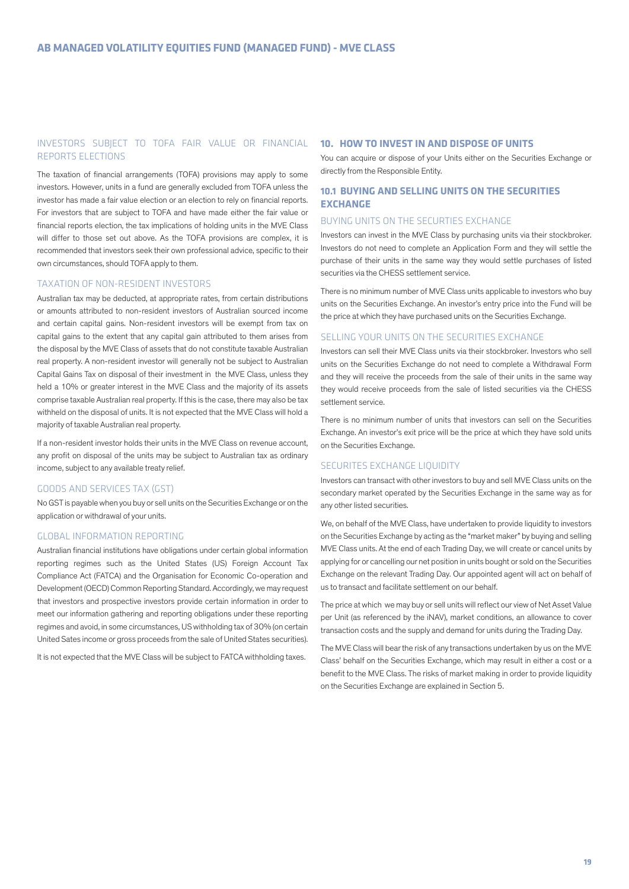## INVESTORS SUBJECT TO TOFA FAIR VALUE OR FINANCIAL REPORTS ELECTIONS

The taxation of financial arrangements (TOFA) provisions may apply to some investors. However, units in a fund are generally excluded from TOFA unless the investor has made a fair value election or an election to rely on financial reports. For investors that are subject to TOFA and have made either the fair value or financial reports election, the tax implications of holding units in the MVE Class will differ to those set out above. As the TOFA provisions are complex, it is recommended that investors seek their own professional advice, specific to their own circumstances, should TOFA apply to them.

#### TAXATION OF NON-RESIDENT INVESTORS

Australian tax may be deducted, at appropriate rates, from certain distributions or amounts attributed to non-resident investors of Australian sourced income and certain capital gains. Non-resident investors will be exempt from tax on capital gains to the extent that any capital gain attributed to them arises from the disposal by the MVE Class of assets that do not constitute taxable Australian real property. A non-resident investor will generally not be subject to Australian Capital Gains Tax on disposal of their investment in the MVE Class, unless they held a 10% or greater interest in the MVE Class and the majority of its assets comprise taxable Australian real property. If this is the case, there may also be tax withheld on the disposal of units. It is not expected that the MVE Class will hold a majority of taxable Australian real property.

If a non-resident investor holds their units in the MVE Class on revenue account, any profit on disposal of the units may be subject to Australian tax as ordinary income, subject to any available treaty relief.

#### GOODS AND SERVICES TAX (GST)

No GST is payable when you buy or sell units on the Securities Exchange or on the application or withdrawal of your units.

## GLOBAL INFORMATION REPORTING

Australian financial institutions have obligations under certain global information reporting regimes such as the United States (US) Foreign Account Tax Compliance Act (FATCA) and the Organisation for Economic Co-operation and Development (OECD) Common Reporting Standard. Accordingly, we may request that investors and prospective investors provide certain information in order to meet our information gathering and reporting obligations under these reporting regimes and avoid, in some circumstances, US withholding tax of 30% (on certain United Sates income or gross proceeds from the sale of United States securities).

It is not expected that the MVE Class will be subject to FATCA withholding taxes.

## **10. HOW TO INVEST IN AND DISPOSE OF UNITS**

You can acquire or dispose of your Units either on the Securities Exchange or directly from the Responsible Entity.

## **10.1 BUYING AND SELLING UNITS ON THE SECURITIES EXCHANGE**

#### BUYING UNITS ON THE SECURTIES EXCHANGE

Investors can invest in the MVE Class by purchasing units via their stockbroker. Investors do not need to complete an Application Form and they will settle the purchase of their units in the same way they would settle purchases of listed securities via the CHESS settlement service.

There is no minimum number of MVE Class units applicable to investors who buy units on the Securities Exchange. An investor's entry price into the Fund will be the price at which they have purchased units on the Securities Exchange.

#### SELLING YOUR UNITS ON THE SECURITIES EXCHANGE

Investors can sell their MVE Class units via their stockbroker. Investors who sell units on the Securities Exchange do not need to complete a Withdrawal Form and they will receive the proceeds from the sale of their units in the same way they would receive proceeds from the sale of listed securities via the CHESS settlement service.

There is no minimum number of units that investors can sell on the Securities Exchange. An investor's exit price will be the price at which they have sold units on the Securities Exchange.

#### SECURITES EXCHANGE LIQUIDITY

Investors can transact with other investors to buy and sell MVE Class units on the secondary market operated by the Securities Exchange in the same way as for any other listed securities.

We, on behalf of the MVE Class, have undertaken to provide liquidity to investors on the Securities Exchange by acting as the "market maker" by buying and selling MVE Class units. At the end of each Trading Day, we will create or cancel units by applying for or cancelling our net position in units bought or sold on the Securities Exchange on the relevant Trading Day. Our appointed agent will act on behalf of us to transact and facilitate settlement on our behalf.

The price at which we may buy or sell units will reflect our view of Net Asset Value per Unit (as referenced by the iNAV), market conditions, an allowance to cover transaction costs and the supply and demand for units during the Trading Day.

The MVE Class will bear the risk of any transactions undertaken by us on the MVE Class' behalf on the Securities Exchange, which may result in either a cost or a benefit to the MVE Class. The risks of market making in order to provide liquidity on the Securities Exchange are explained in Section 5.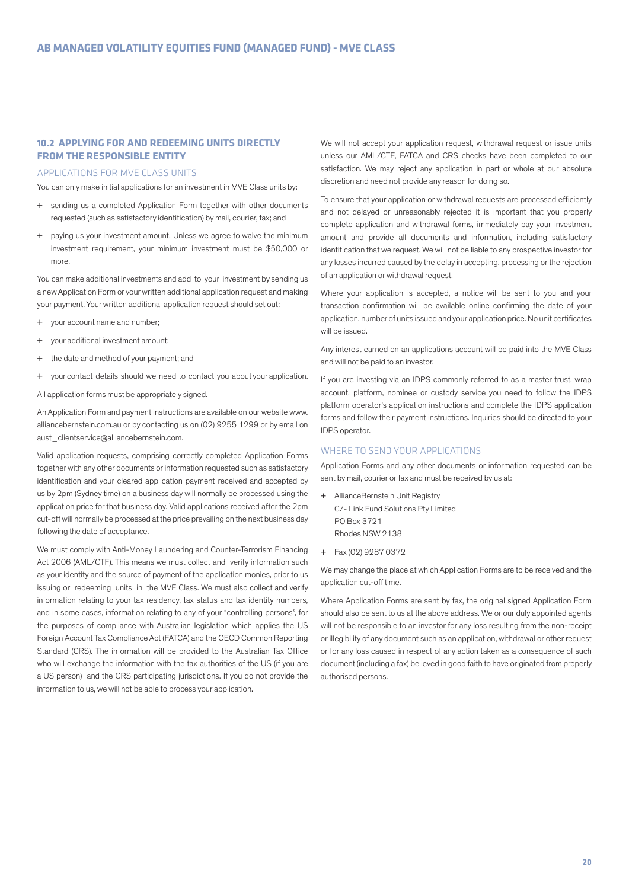#### **10.2 APPLYING FOR AND REDEEMING UNITS DIRECTLY FROM THE RESPONSIBLE ENTITY**

#### APPLICATIONS FOR MVE CLASS UNITS

You can only make initial applications for an investment in MVE Class units by:

- + sending us a completed Application Form together with other documents requested (such as satisfactory identification) by mail, courier, fax; and
- + paying us your investment amount. Unless we agree to waive the minimum investment requirement, your minimum investment must be \$50,000 or more.

You can make additional investments and add to your investment by sending us a new Application Form or your written additional application request and making your payment. Your written additional application request should set out:

- + your account name and number;
- your additional investment amount;
- the date and method of your payment; and
- + your contact details should we need to contact you about your application.

All application forms must be appropriately signed.

An Application Form and payment instructions are available on our website www. alliancebernstein.com.au or by contacting us on (02) 9255 1299 or by email on aust\_clientservice@alliancebernstein.com.

Valid application requests, comprising correctly completed Application Forms together with any other documents or information requested such as satisfactory identification and your cleared application payment received and accepted by us by 2pm (Sydney time) on a business day will normally be processed using the application price for that business day. Valid applications received after the 2pm cut-off will normally be processed at the price prevailing on the next business day following the date of acceptance.

We must comply with Anti-Money Laundering and Counter-Terrorism Financing Act 2006 (AML/CTF). This means we must collect and verify information such as your identity and the source of payment of the application monies, prior to us issuing or redeeming units in the MVE Class. We must also collect and verify information relating to your tax residency, tax status and tax identity numbers, and in some cases, information relating to any of your "controlling persons", for the purposes of compliance with Australian legislation which applies the US Foreign Account Tax Compliance Act (FATCA) and the OECD Common Reporting Standard (CRS). The information will be provided to the Australian Tax Office who will exchange the information with the tax authorities of the US (if you are a US person) and the CRS participating jurisdictions. If you do not provide the information to us, we will not be able to process your application.

We will not accept your application request, withdrawal request or issue units unless our AML/CTF, FATCA and CRS checks have been completed to our satisfaction. We may reject any application in part or whole at our absolute discretion and need not provide any reason for doing so.

To ensure that your application or withdrawal requests are processed efficiently and not delayed or unreasonably rejected it is important that you properly complete application and withdrawal forms, immediately pay your investment amount and provide all documents and information, including satisfactory identification that we request. We will not be liable to any prospective investor for any losses incurred caused by the delay in accepting, processing or the rejection of an application or withdrawal request.

Where your application is accepted, a notice will be sent to you and your transaction confirmation will be available online confirming the date of your application, number of units issued and your application price. No unit certificates will be issued.

Any interest earned on an applications account will be paid into the MVE Class and will not be paid to an investor.

If you are investing via an IDPS commonly referred to as a master trust, wrap account, platform, nominee or custody service you need to follow the IDPS platform operator's application instructions and complete the IDPS application forms and follow their payment instructions. Inquiries should be directed to your IDPS operator.

## WHERE TO SEND YOUR APPLICATIONS

Application Forms and any other documents or information requested can be sent by mail, courier or fax and must be received by us at:

- + AllianceBernstein Unit Registry C/- Link Fund Solutions Pty Limited PO Box 3721 Rhodes NSW 2138
- + Fax (02) 9287 0372

We may change the place at which Application Forms are to be received and the application cut-off time.

Where Application Forms are sent by fax, the original signed Application Form should also be sent to us at the above address. We or our duly appointed agents will not be responsible to an investor for any loss resulting from the non-receipt or illegibility of any document such as an application, withdrawal or other request or for any loss caused in respect of any action taken as a consequence of such document (including a fax) believed in good faith to have originated from properly authorised persons.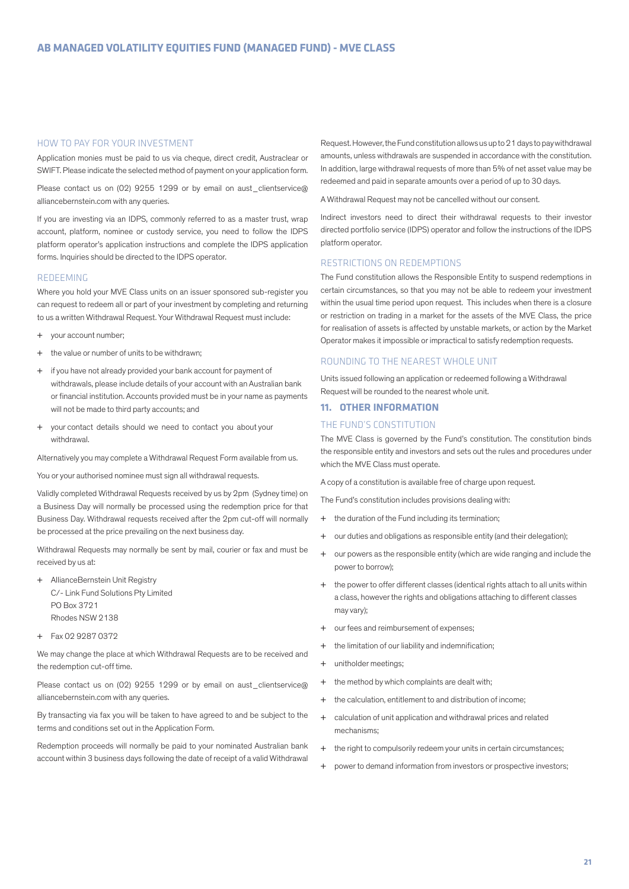#### HOW TO PAY FOR YOUR INVESTMENT

Application monies must be paid to us via cheque, direct credit, Austraclear or SWIFT. Please indicate the selected method of payment on your application form.

Please contact us on (02) 9255 1299 or by email on aust\_clientservice@ alliancebernstein.com with any queries.

If you are investing via an IDPS, commonly referred to as a master trust, wrap account, platform, nominee or custody service, you need to follow the IDPS platform operator's application instructions and complete the IDPS application forms. Inquiries should be directed to the IDPS operator.

#### REDEEMING

Where you hold your MVE Class units on an issuer sponsored sub-register you can request to redeem all or part of your investment by completing and returning to us a written Withdrawal Request. Your Withdrawal Request must include:

- + your account number;
- + the value or number of units to be withdrawn;
- + if you have not already provided your bank account for payment of withdrawals, please include details of your account with an Australian bank or financial institution. Accounts provided must be in your name as payments will not be made to third party accounts; and
- + your contact details should we need to contact you about your withdrawal.

Alternatively you may complete a Withdrawal Request Form available from us.

You or your authorised nominee must sign all withdrawal requests.

Validly completed Withdrawal Requests received by us by 2pm (Sydney time) on a Business Day will normally be processed using the redemption price for that Business Day. Withdrawal requests received after the 2pm cut-off will normally be processed at the price prevailing on the next business day.

Withdrawal Requests may normally be sent by mail, courier or fax and must be received by us at:

- + AllianceBernstein Unit Registry C/- Link Fund Solutions Pty Limited PO Box 3721 Rhodes NSW 2138
- + Fax 02 9287 0372

We may change the place at which Withdrawal Requests are to be received and the redemption cut-off time.

Please contact us on (02) 9255 1299 or by email on aust\_clientservice@ alliancebernstein.com with any queries.

By transacting via fax you will be taken to have agreed to and be subject to the terms and conditions set out in the Application Form.

Redemption proceeds will normally be paid to your nominated Australian bank account within 3 business days following the date of receipt of a valid Withdrawal Request. However, the Fund constitution allows us up to 21 days to pay withdrawal amounts, unless withdrawals are suspended in accordance with the constitution. In addition, large withdrawal requests of more than 5% of net asset value may be redeemed and paid in separate amounts over a period of up to 30 days.

A Withdrawal Request may not be cancelled without our consent.

Indirect investors need to direct their withdrawal requests to their investor directed portfolio service (IDPS) operator and follow the instructions of the IDPS platform operator.

#### RESTRICTIONS ON REDEMPTIONS

The Fund constitution allows the Responsible Entity to suspend redemptions in certain circumstances, so that you may not be able to redeem your investment within the usual time period upon request. This includes when there is a closure or restriction on trading in a market for the assets of the MVE Class, the price for realisation of assets is affected by unstable markets, or action by the Market Operator makes it impossible or impractical to satisfy redemption requests.

#### ROUNDING TO THE NEAREST WHOLE UNIT

Units issued following an application or redeemed following a Withdrawal Request will be rounded to the nearest whole unit.

## **11. OTHER INFORMATION**

#### THE FUND'S CONSTITUTION

The MVE Class is governed by the Fund's constitution. The constitution binds the responsible entity and investors and sets out the rules and procedures under which the MVE Class must operate.

A copy of a constitution is available free of charge upon request.

The Fund's constitution includes provisions dealing with:

- + the duration of the Fund including its termination;
- + our duties and obligations as responsible entity (and their delegation);
- + our powers as the responsible entity (which are wide ranging and include the power to borrow);
- + the power to offer different classes (identical rights attach to all units within a class, however the rights and obligations attaching to different classes may vary);
- + our fees and reimbursement of expenses;
- + the limitation of our liability and indemnification;
- + unitholder meetings;
- + the method by which complaints are dealt with;
- + the calculation, entitlement to and distribution of income;
- + calculation of unit application and withdrawal prices and related mechanisms;
- + the right to compulsorily redeem your units in certain circumstances;
- + power to demand information from investors or prospective investors;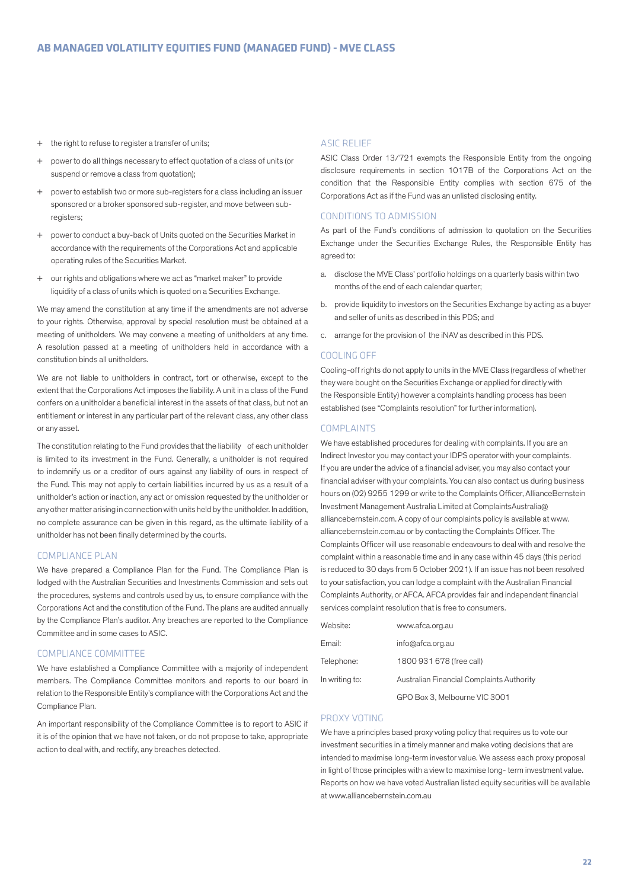- + the right to refuse to register a transfer of units;
- + power to do all things necessary to effect quotation of a class of units (or suspend or remove a class from quotation);
- + power to establish two or more sub-registers for a class including an issuer sponsored or a broker sponsored sub-register, and move between subregisters;
- + power to conduct a buy-back of Units quoted on the Securities Market in accordance with the requirements of the Corporations Act and applicable operating rules of the Securities Market.
- our rights and obligations where we act as "market maker" to provide liquidity of a class of units which is quoted on a Securities Exchange.

We may amend the constitution at any time if the amendments are not adverse to your rights. Otherwise, approval by special resolution must be obtained at a meeting of unitholders. We may convene a meeting of unitholders at any time. A resolution passed at a meeting of unitholders held in accordance with a constitution binds all unitholders.

We are not liable to unitholders in contract, tort or otherwise, except to the extent that the Corporations Act imposes the liability. A unit in a class of the Fund confers on a unitholder a beneficial interest in the assets of that class, but not an entitlement or interest in any particular part of the relevant class, any other class or any asset.

The constitution relating to the Fund provides that the liability of each unitholder is limited to its investment in the Fund. Generally, a unitholder is not required to indemnify us or a creditor of ours against any liability of ours in respect of the Fund. This may not apply to certain liabilities incurred by us as a result of a unitholder's action or inaction, any act or omission requested by the unitholder or any other matter arising in connection with units held by the unitholder. In addition, no complete assurance can be given in this regard, as the ultimate liability of a unitholder has not been finally determined by the courts.

## COMPLIANCE PLAN

We have prepared a Compliance Plan for the Fund. The Compliance Plan is lodged with the Australian Securities and Investments Commission and sets out the procedures, systems and controls used by us, to ensure compliance with the Corporations Act and the constitution of the Fund. The plans are audited annually by the Compliance Plan's auditor. Any breaches are reported to the Compliance Committee and in some cases to ASIC.

## COMPLIANCE COMMITTEE

We have established a Compliance Committee with a majority of independent members. The Compliance Committee monitors and reports to our board in relation to the Responsible Entity's compliance with the Corporations Act and the Compliance Plan.

An important responsibility of the Compliance Committee is to report to ASIC if it is of the opinion that we have not taken, or do not propose to take, appropriate action to deal with, and rectify, any breaches detected.

#### ASIC RELIEF

ASIC Class Order 13/721 exempts the Responsible Entity from the ongoing disclosure requirements in section 1017B of the Corporations Act on the condition that the Responsible Entity complies with section 675 of the Corporations Act as if the Fund was an unlisted disclosing entity.

## CONDITIONS TO ADMISSION

As part of the Fund's conditions of admission to quotation on the Securities Exchange under the Securities Exchange Rules, the Responsible Entity has agreed to:

- a. disclose the MVE Class' portfolio holdings on a quarterly basis within two months of the end of each calendar quarter;
- b. provide liquidity to investors on the Securities Exchange by acting as a buyer and seller of units as described in this PDS; and
- c. arrange for the provision of the iNAV as described in this PDS.

#### COOLING OFF

Cooling-off rights do not apply to units in the MVE Class (regardless of whether they were bought on the Securities Exchange or applied for directly with the Responsible Entity) however a complaints handling process has been established (see "Complaints resolution" for further information).

#### COMPLAINTS

We have established procedures for dealing with complaints. If you are an Indirect Investor you may contact your IDPS operator with your complaints. If you are under the advice of a financial adviser, you may also contact your financial adviser with your complaints. You can also contact us during business hours on (02) 9255 1299 or write to the Complaints Officer, AllianceBernstein Investment Management Australia Limited at ComplaintsAustralia@ alliancebernstein.com. A copy of our complaints policy is available at www. alliancebernstein.com.au or by contacting the Complaints Officer. The Complaints Officer will use reasonable endeavours to deal with and resolve the complaint within a reasonable time and in any case within 45 days (this period is reduced to 30 days from 5 October 2021). If an issue has not been resolved to your satisfaction, you can lodge a complaint with the Australian Financial Complaints Authority, or AFCA. AFCA provides fair and independent financial services complaint resolution that is free to consumers.

| Website:       | www.afca.org.au                           |
|----------------|-------------------------------------------|
| Email:         | info@afca.org.au                          |
| Telephone:     | 1800 931 678 (free call)                  |
| In writing to: | Australian Financial Complaints Authority |
|                | GPO Box 3. Melbourne VIC 3001             |

#### PROXY VOTING

We have a principles based proxy voting policy that requires us to vote our investment securities in a timely manner and make voting decisions that are intended to maximise long-term investor value. We assess each proxy proposal in light of those principles with a view to maximise long- term investment value. Reports on how we have voted Australian listed equity securities will be available at www.alliancebernstein.com.au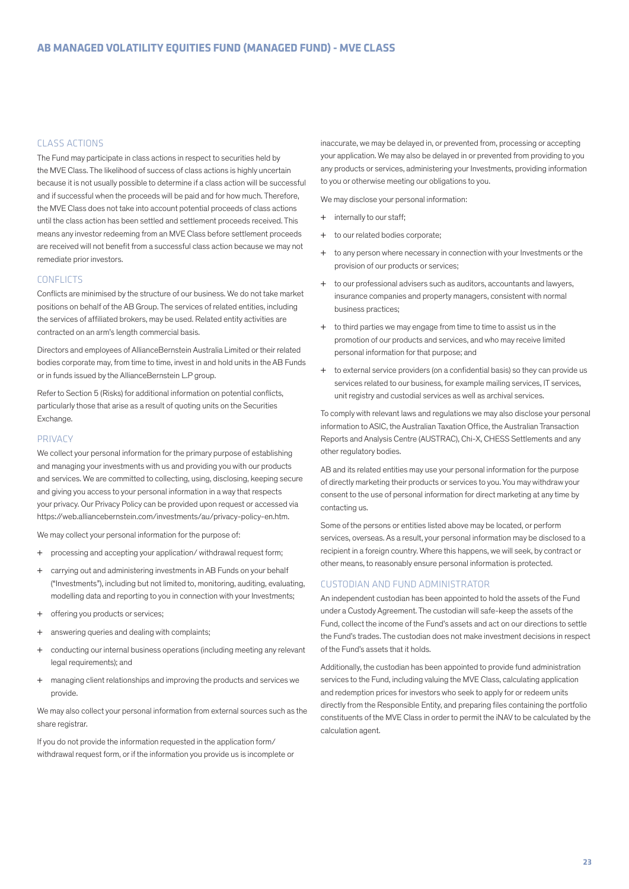#### CLASS ACTIONS

The Fund may participate in class actions in respect to securities held by the MVE Class. The likelihood of success of class actions is highly uncertain because it is not usually possible to determine if a class action will be successful and if successful when the proceeds will be paid and for how much. Therefore, the MVE Class does not take into account potential proceeds of class actions until the class action has been settled and settlement proceeds received. This means any investor redeeming from an MVE Class before settlement proceeds are received will not benefit from a successful class action because we may not remediate prior investors.

#### **CONFLICTS**

Conflicts are minimised by the structure of our business. We do not take market positions on behalf of the AB Group. The services of related entities, including the services of affiliated brokers, may be used. Related entity activities are contracted on an arm's length commercial basis.

Directors and employees of AllianceBernstein Australia Limited or their related bodies corporate may, from time to time, invest in and hold units in the AB Funds or in funds issued by the AllianceBernstein L.P group.

Refer to Section 5 (Risks) for additional information on potential conflicts, particularly those that arise as a result of quoting units on the Securities Exchange.

#### PRIVACY

We collect your personal information for the primary purpose of establishing and managing your investments with us and providing you with our products and services. We are committed to collecting, using, disclosing, keeping secure and giving you access to your personal information in a way that respects your privacy. Our Privacy Policy can be provided upon request or accessed via https://web.alliancebernstein.com/investments/au/privacy-policy-en.htm.

We may collect your personal information for the purpose of:

- + processing and accepting your application/ withdrawal request form;
- + carrying out and administering investments in AB Funds on your behalf ("Investments"), including but not limited to, monitoring, auditing, evaluating, modelling data and reporting to you in connection with your Investments;
- + offering you products or services;
- + answering queries and dealing with complaints;
- + conducting our internal business operations (including meeting any relevant legal requirements); and
- + managing client relationships and improving the products and services we provide.

We may also collect your personal information from external sources such as the share registrar.

If you do not provide the information requested in the application form/ withdrawal request form, or if the information you provide us is incomplete or inaccurate, we may be delayed in, or prevented from, processing or accepting your application. We may also be delayed in or prevented from providing to you any products or services, administering your Investments, providing information to you or otherwise meeting our obligations to you.

We may disclose your personal information:

- + internally to our staff;
- + to our related bodies corporate;
- + to any person where necessary in connection with your Investments or the provision of our products or services;
- + to our professional advisers such as auditors, accountants and lawyers, insurance companies and property managers, consistent with normal business practices;
- + to third parties we may engage from time to time to assist us in the promotion of our products and services, and who may receive limited personal information for that purpose; and
- + to external service providers (on a confidential basis) so they can provide us services related to our business, for example mailing services, IT services, unit registry and custodial services as well as archival services.

To comply with relevant laws and regulations we may also disclose your personal information to ASIC, the Australian Taxation Office, the Australian Transaction Reports and Analysis Centre (AUSTRAC), Chi-X, CHESS Settlements and any other regulatory bodies.

AB and its related entities may use your personal information for the purpose of directly marketing their products or services to you. You may withdraw your consent to the use of personal information for direct marketing at any time by contacting us.

Some of the persons or entities listed above may be located, or perform services, overseas. As a result, your personal information may be disclosed to a recipient in a foreign country. Where this happens, we will seek, by contract or other means, to reasonably ensure personal information is protected.

## CUSTODIAN AND FUND ADMINISTRATOR

An independent custodian has been appointed to hold the assets of the Fund under a Custody Agreement. The custodian will safe-keep the assets of the Fund, collect the income of the Fund's assets and act on our directions to settle the Fund's trades. The custodian does not make investment decisions in respect of the Fund's assets that it holds.

Additionally, the custodian has been appointed to provide fund administration services to the Fund, including valuing the MVE Class, calculating application and redemption prices for investors who seek to apply for or redeem units directly from the Responsible Entity, and preparing files containing the portfolio constituents of the MVE Class in order to permit the iNAV to be calculated by the calculation agent.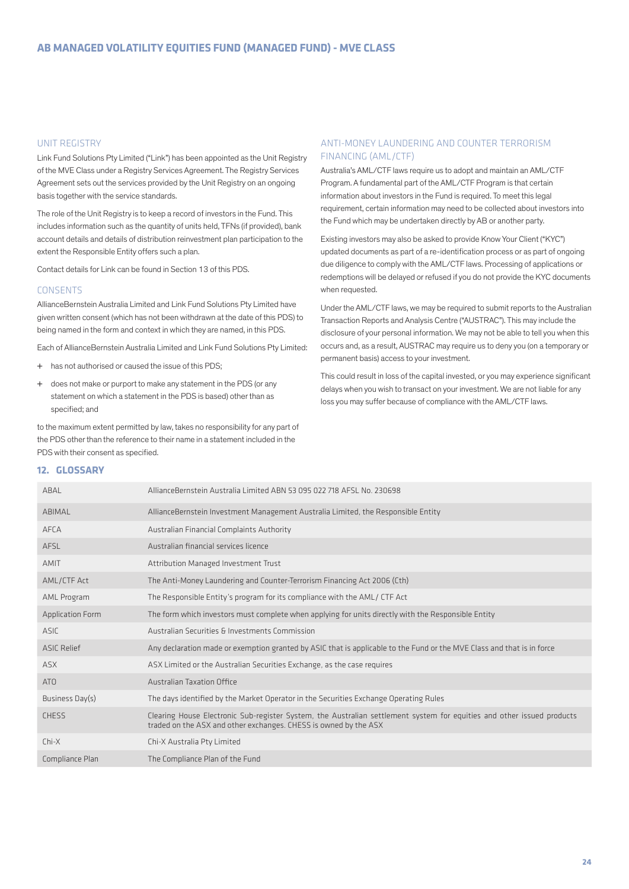#### UNIT REGISTRY

Link Fund Solutions Pty Limited ("Link") has been appointed as the Unit Registry of the MVE Class under a Registry Services Agreement. The Registry Services Agreement sets out the services provided by the Unit Registry on an ongoing basis together with the service standards.

The role of the Unit Registry is to keep a record of investors in the Fund. This includes information such as the quantity of units held, TFNs (if provided), bank account details and details of distribution reinvestment plan participation to the extent the Responsible Entity offers such a plan.

Contact details for Link can be found in Section 13 of this PDS.

#### **CONSENTS**

AllianceBernstein Australia Limited and Link Fund Solutions Pty Limited have given written consent (which has not been withdrawn at the date of this PDS) to being named in the form and context in which they are named, in this PDS.

Each of AllianceBernstein Australia Limited and Link Fund Solutions Pty Limited:

- + has not authorised or caused the issue of this PDS;
- + does not make or purport to make any statement in the PDS (or any statement on which a statement in the PDS is based) other than as specified; and

to the maximum extent permitted by law, takes no responsibility for any part of the PDS other than the reference to their name in a statement included in the PDS with their consent as specified.

### ANTI-MONEY LAUNDERING AND COUNTER TERRORISM FINANCING (AML/CTF)

Australia's AML/CTF laws require us to adopt and maintain an AML/CTF Program. A fundamental part of the AML/CTF Program is that certain information about investors in the Fund is required. To meet this legal requirement, certain information may need to be collected about investors into the Fund which may be undertaken directly by AB or another party.

Existing investors may also be asked to provide Know Your Client ("KYC") updated documents as part of a re-identification process or as part of ongoing due diligence to comply with the AML/CTF laws. Processing of applications or redemptions will be delayed or refused if you do not provide the KYC documents when requested.

Under the AML/CTF laws, we may be required to submit reports to the Australian Transaction Reports and Analysis Centre ("AUSTRAC"). This may include the disclosure of your personal information. We may not be able to tell you when this occurs and, as a result, AUSTRAC may require us to deny you (on a temporary or permanent basis) access to your investment.

This could result in loss of the capital invested, or you may experience significant delays when you wish to transact on your investment. We are not liable for any loss you may suffer because of compliance with the AML/CTF laws.

#### **12. GLOSSARY**

| ABAL                    | AllianceBernstein Australia Limited ABN 53 095 022 718 AFSL No. 230698                                                                                                                     |
|-------------------------|--------------------------------------------------------------------------------------------------------------------------------------------------------------------------------------------|
| ABIMAL                  | AllianceBernstein Investment Management Australia Limited, the Responsible Entity                                                                                                          |
| AFCA                    | Australian Financial Complaints Authority                                                                                                                                                  |
| AFSL                    | Australian financial services licence                                                                                                                                                      |
| AMIT                    | Attribution Managed Investment Trust                                                                                                                                                       |
| AML/CTF Act             | The Anti-Money Laundering and Counter-Terrorism Financing Act 2006 (Cth)                                                                                                                   |
| AML Program             | The Responsible Entity's program for its compliance with the AML/CTF Act                                                                                                                   |
| <b>Application Form</b> | The form which investors must complete when applying for units directly with the Responsible Entity                                                                                        |
| ASIC                    | Australian Securities & Investments Commission                                                                                                                                             |
| <b>ASIC Relief</b>      | Any declaration made or exemption granted by ASIC that is applicable to the Fund or the MVE Class and that is in force                                                                     |
| ASX.                    | ASX Limited or the Australian Securities Exchange, as the case requires                                                                                                                    |
| AT <sub>0</sub>         | Australian Taxation Office                                                                                                                                                                 |
| Business Day(s)         | The days identified by the Market Operator in the Securities Exchange Operating Rules                                                                                                      |
| <b>CHESS</b>            | Clearing House Electronic Sub-register System, the Australian settlement system for equities and other issued products<br>traded on the ASX and other exchanges. CHESS is owned by the ASX |
| $Chi-X$                 | Chi-X Australia Pty Limited                                                                                                                                                                |
| Compliance Plan         | The Compliance Plan of the Fund                                                                                                                                                            |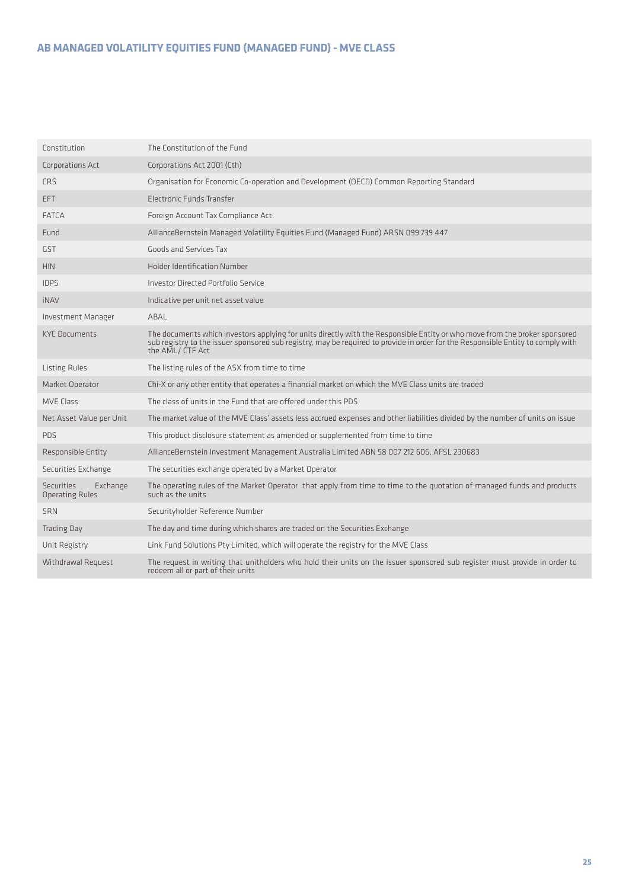# **AB MANAGED VOLATILITY EQUITIES FUND (MANAGED FUND) - MVE CLASS**

| Constitution                                            | The Constitution of the Fund                                                                                                                                                                                                                                                       |
|---------------------------------------------------------|------------------------------------------------------------------------------------------------------------------------------------------------------------------------------------------------------------------------------------------------------------------------------------|
| Corporations Act                                        | Corporations Act 2001 (Cth)                                                                                                                                                                                                                                                        |
| <b>CRS</b>                                              | Organisation for Economic Co-operation and Development (OECD) Common Reporting Standard                                                                                                                                                                                            |
| EFT.                                                    | Electronic Funds Transfer                                                                                                                                                                                                                                                          |
| <b>FATCA</b>                                            | Foreign Account Tax Compliance Act.                                                                                                                                                                                                                                                |
| Fund                                                    | AllianceBernstein Managed Volatility Equities Fund (Managed Fund) ARSN 099 739 447                                                                                                                                                                                                 |
| <b>GST</b>                                              | Goods and Services Tax                                                                                                                                                                                                                                                             |
| <b>HIN</b>                                              | Holder Identification Number                                                                                                                                                                                                                                                       |
| <b>IDPS</b>                                             | Investor Directed Portfolio Service                                                                                                                                                                                                                                                |
| <b>iNAV</b>                                             | Indicative per unit net asset value                                                                                                                                                                                                                                                |
| Investment Manager                                      | ABAL                                                                                                                                                                                                                                                                               |
| <b>KYC Documents</b>                                    | The documents which investors applying for units directly with the Responsible Entity or who move from the broker sponsored<br>sub registry to the issuer sponsored sub registry, may be required to provide in order for the Responsible Entity to comply with<br>the AML/CTF Act |
| Listing Rules                                           | The listing rules of the ASX from time to time                                                                                                                                                                                                                                     |
| Market Operator                                         | Chi-X or any other entity that operates a financial market on which the MVE Class units are traded                                                                                                                                                                                 |
| <b>MVE Class</b>                                        | The class of units in the Fund that are offered under this PDS                                                                                                                                                                                                                     |
| Net Asset Value per Unit                                | The market value of the MVE Class' assets less accrued expenses and other liabilities divided by the number of units on issue                                                                                                                                                      |
| <b>PDS</b>                                              | This product disclosure statement as amended or supplemented from time to time                                                                                                                                                                                                     |
| Responsible Entity                                      | AllianceBernstein Investment Management Australia Limited ABN 58 007 212 606, AFSL 230683                                                                                                                                                                                          |
| Securities Exchange                                     | The securities exchange operated by a Market Operator                                                                                                                                                                                                                              |
| <b>Securities</b><br>Exchange<br><b>Operating Rules</b> | The operating rules of the Market Operator that apply from time to time to the quotation of managed funds and products<br>such as the units                                                                                                                                        |
| <b>SRN</b>                                              | Securityholder Reference Number                                                                                                                                                                                                                                                    |
| <b>Trading Day</b>                                      | The day and time during which shares are traded on the Securities Exchange                                                                                                                                                                                                         |
| Unit Registry                                           | Link Fund Solutions Pty Limited, which will operate the registry for the MVE Class                                                                                                                                                                                                 |
| Withdrawal Request                                      | The request in writing that unitholders who hold their units on the issuer sponsored sub register must provide in order to                                                                                                                                                         |